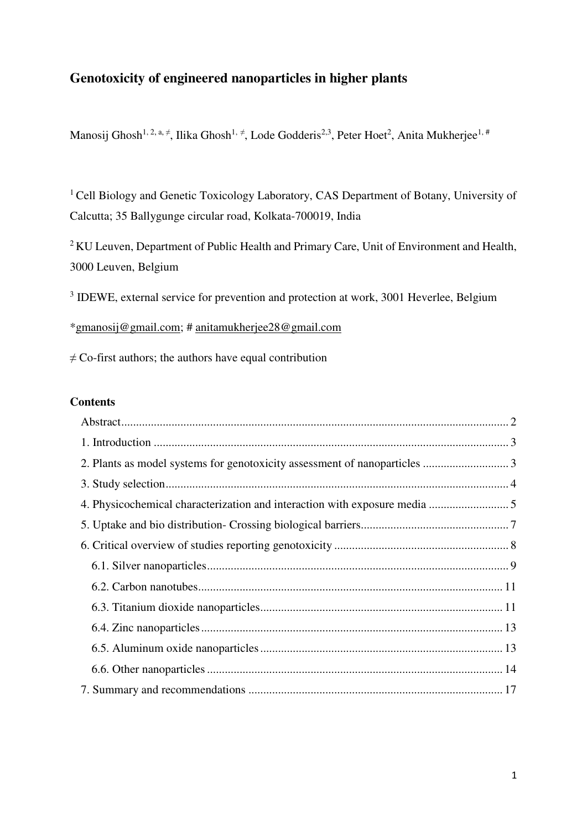# **Genotoxicity of engineered nanoparticles in higher plants**

Manosij Ghosh $^{1,\,2,\,\mathrm{a},\,\ne}$ , Ilika Ghosh $^{1,\,\ne}$ , Lode Godderis $^{2,3}$ , Peter Hoet $^2$ , Anita Mukherjee $^{1,\,\#}$ 

<sup>1</sup> Cell Biology and Genetic Toxicology Laboratory, CAS Department of Botany, University of Calcutta; 35 Ballygunge circular road, Kolkata-700019, India

<sup>2</sup> KU Leuven, Department of Public Health and Primary Care, Unit of Environment and Health, 3000 Leuven, Belgium

<sup>3</sup> IDEWE, external service for prevention and protection at work, 3001 Heverlee, Belgium

[\\*gmanosij@gmail.com;](mailto:gmanosij@gmail.com) # [anitamukherjee28@gmail.com](mailto:anitamukherjee28@gmail.com) 

 $\neq$  Co-first authors; the authors have equal contribution

# **Contents**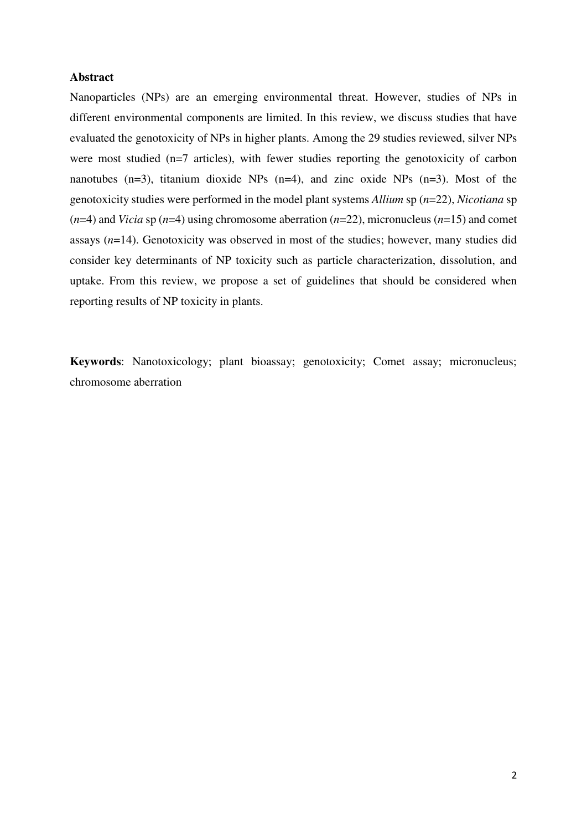# <span id="page-1-0"></span>**Abstract**

Nanoparticles (NPs) are an emerging environmental threat. However, studies of NPs in different environmental components are limited. In this review, we discuss studies that have evaluated the genotoxicity of NPs in higher plants. Among the 29 studies reviewed, silver NPs were most studied (n=7 articles), with fewer studies reporting the genotoxicity of carbon nanotubes (n=3), titanium dioxide NPs (n=4), and zinc oxide NPs (n=3). Most of the genotoxicity studies were performed in the model plant systems *Allium* sp (*n*=22), *Nicotiana* sp (*n*=4) and *Vicia* sp (*n*=4) using chromosome aberration (*n*=22), micronucleus (*n*=15) and comet assays (*n*=14). Genotoxicity was observed in most of the studies; however, many studies did consider key determinants of NP toxicity such as particle characterization, dissolution, and uptake. From this review, we propose a set of guidelines that should be considered when reporting results of NP toxicity in plants.

**Keywords**: Nanotoxicology; plant bioassay; genotoxicity; Comet assay; micronucleus; chromosome aberration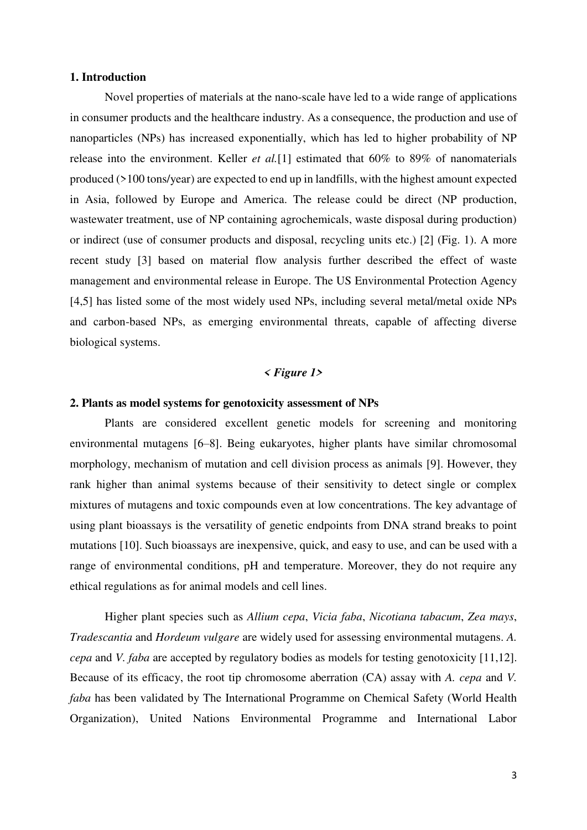#### <span id="page-2-0"></span>**1. Introduction**

Novel properties of materials at the nano-scale have led to a wide range of applications in consumer products and the healthcare industry. As a consequence, the production and use of nanoparticles (NPs) has increased exponentially, which has led to higher probability of NP release into the environment. Keller *et al.*[1] estimated that 60% to 89% of nanomaterials produced (>100 tons/year) are expected to end up in landfills, with the highest amount expected in Asia, followed by Europe and America. The release could be direct (NP production, wastewater treatment, use of NP containing agrochemicals, waste disposal during production) or indirect (use of consumer products and disposal, recycling units etc.) [2] (Fig. 1). A more recent study [3] based on material flow analysis further described the effect of waste management and environmental release in Europe. The US Environmental Protection Agency [4,5] has listed some of the most widely used NPs, including several metal/metal oxide NPs and carbon-based NPs, as emerging environmental threats, capable of affecting diverse biological systems.

# *< Figure 1>*

#### <span id="page-2-1"></span>**2. Plants as model systems for genotoxicity assessment of NPs**

Plants are considered excellent genetic models for screening and monitoring environmental mutagens [6–8]. Being eukaryotes, higher plants have similar chromosomal morphology, mechanism of mutation and cell division process as animals [9]. However, they rank higher than animal systems because of their sensitivity to detect single or complex mixtures of mutagens and toxic compounds even at low concentrations. The key advantage of using plant bioassays is the versatility of genetic endpoints from DNA strand breaks to point mutations [10]. Such bioassays are inexpensive, quick, and easy to use, and can be used with a range of environmental conditions, pH and temperature. Moreover, they do not require any ethical regulations as for animal models and cell lines.

Higher plant species such as *Allium cepa*, *Vicia faba*, *Nicotiana tabacum*, *Zea mays*, *Tradescantia* and *Hordeum vulgare* are widely used for assessing environmental mutagens. *A. cepa* and *V. faba* are accepted by regulatory bodies as models for testing genotoxicity [11,12]. Because of its efficacy, the root tip chromosome aberration (CA) assay with *A. cepa* and *V. faba* has been validated by The International Programme on Chemical Safety (World Health Organization), United Nations Environmental Programme and International Labor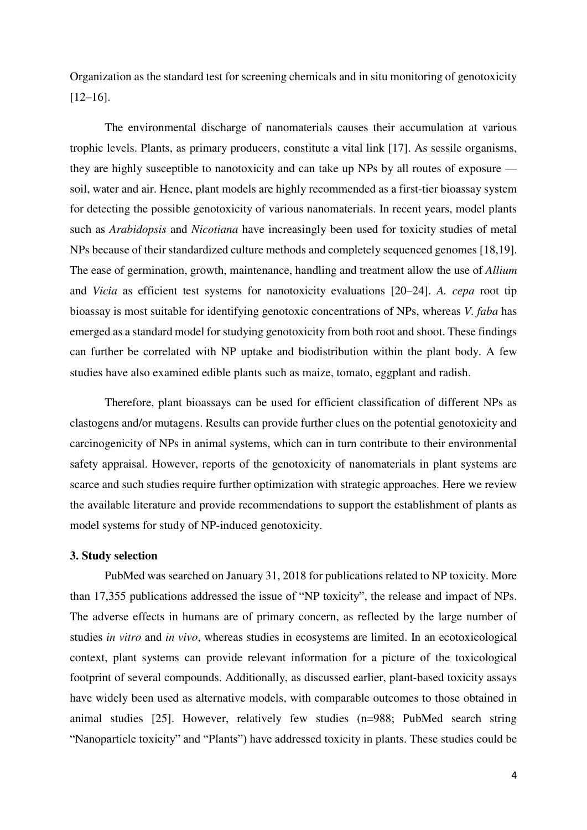Organization as the standard test for screening chemicals and in situ monitoring of genotoxicity [12–16].

The environmental discharge of nanomaterials causes their accumulation at various trophic levels. Plants, as primary producers, constitute a vital link [17]. As sessile organisms, they are highly susceptible to nanotoxicity and can take up NPs by all routes of exposure soil, water and air. Hence, plant models are highly recommended as a first-tier bioassay system for detecting the possible genotoxicity of various nanomaterials. In recent years, model plants such as *Arabidopsis* and *Nicotiana* have increasingly been used for toxicity studies of metal NPs because of their standardized culture methods and completely sequenced genomes [18,19]. The ease of germination, growth, maintenance, handling and treatment allow the use of *Allium* and *Vicia* as efficient test systems for nanotoxicity evaluations [20–24]. *A. cepa* root tip bioassay is most suitable for identifying genotoxic concentrations of NPs, whereas *V. faba* has emerged as a standard model for studying genotoxicity from both root and shoot. These findings can further be correlated with NP uptake and biodistribution within the plant body. A few studies have also examined edible plants such as maize, tomato, eggplant and radish.

Therefore, plant bioassays can be used for efficient classification of different NPs as clastogens and/or mutagens. Results can provide further clues on the potential genotoxicity and carcinogenicity of NPs in animal systems, which can in turn contribute to their environmental safety appraisal. However, reports of the genotoxicity of nanomaterials in plant systems are scarce and such studies require further optimization with strategic approaches. Here we review the available literature and provide recommendations to support the establishment of plants as model systems for study of NP-induced genotoxicity.

# <span id="page-3-0"></span>**3. Study selection**

PubMed was searched on January 31, 2018 for publications related to NP toxicity. More than 17,355 publications addressed the issue of "NP toxicity", the release and impact of NPs. The adverse effects in humans are of primary concern, as reflected by the large number of studies *in vitro* and *in vivo*, whereas studies in ecosystems are limited. In an ecotoxicological context, plant systems can provide relevant information for a picture of the toxicological footprint of several compounds. Additionally, as discussed earlier, plant-based toxicity assays have widely been used as alternative models, with comparable outcomes to those obtained in animal studies [25]. However, relatively few studies (n=988; PubMed search string "Nanoparticle toxicity" and "Plants") have addressed toxicity in plants. These studies could be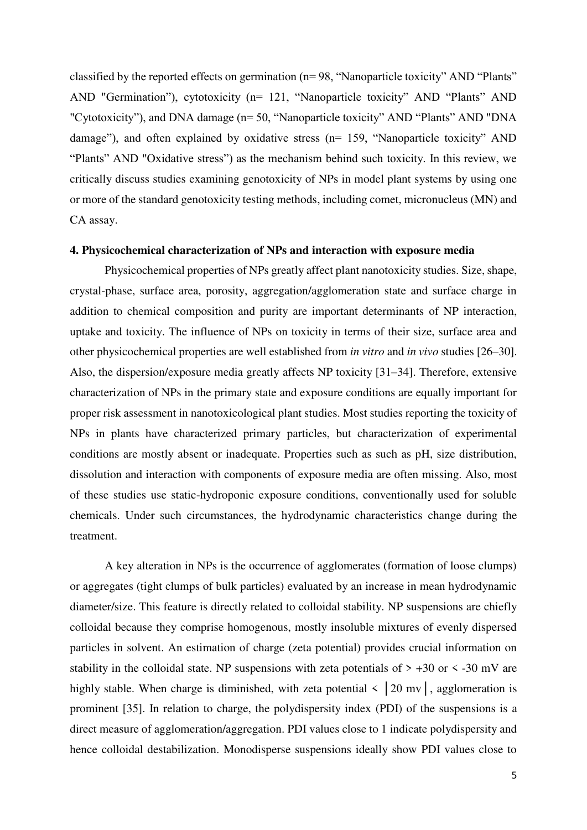classified by the reported effects on germination (n= 98, "Nanoparticle toxicity" AND "Plants" AND "Germination"), cytotoxicity (n= 121, "Nanoparticle toxicity" AND "Plants" AND "Cytotoxicity"), and DNA damage (n= 50, "Nanoparticle toxicity" AND "Plants" AND "DNA damage"), and often explained by oxidative stress (n= 159, "Nanoparticle toxicity" AND "Plants" AND "Oxidative stress") as the mechanism behind such toxicity. In this review, we critically discuss studies examining genotoxicity of NPs in model plant systems by using one or more of the standard genotoxicity testing methods, including comet, micronucleus (MN) and CA assay.

#### <span id="page-4-0"></span>**4. Physicochemical characterization of NPs and interaction with exposure media**

Physicochemical properties of NPs greatly affect plant nanotoxicity studies. Size, shape, crystal-phase, surface area, porosity, aggregation/agglomeration state and surface charge in addition to chemical composition and purity are important determinants of NP interaction, uptake and toxicity. The influence of NPs on toxicity in terms of their size, surface area and other physicochemical properties are well established from *in vitro* and *in vivo* studies [26–30]. Also, the dispersion/exposure media greatly affects NP toxicity [31–34]. Therefore, extensive characterization of NPs in the primary state and exposure conditions are equally important for proper risk assessment in nanotoxicological plant studies. Most studies reporting the toxicity of NPs in plants have characterized primary particles, but characterization of experimental conditions are mostly absent or inadequate. Properties such as such as pH, size distribution, dissolution and interaction with components of exposure media are often missing. Also, most of these studies use static-hydroponic exposure conditions, conventionally used for soluble chemicals. Under such circumstances, the hydrodynamic characteristics change during the treatment.

A key alteration in NPs is the occurrence of agglomerates (formation of loose clumps) or aggregates (tight clumps of bulk particles) evaluated by an increase in mean hydrodynamic diameter/size. This feature is directly related to colloidal stability. NP suspensions are chiefly colloidal because they comprise homogenous, mostly insoluble mixtures of evenly dispersed particles in solvent. An estimation of charge (zeta potential) provides crucial information on stability in the colloidal state. NP suspensions with zeta potentials of  $> +30$  or  $< -30$  mV are highly stable. When charge is diminished, with zeta potential  $\langle 20 \text{ mv} \rangle$ , agglomeration is prominent [35]. In relation to charge, the polydispersity index (PDI) of the suspensions is a direct measure of agglomeration/aggregation. PDI values close to 1 indicate polydispersity and hence colloidal destabilization. Monodisperse suspensions ideally show PDI values close to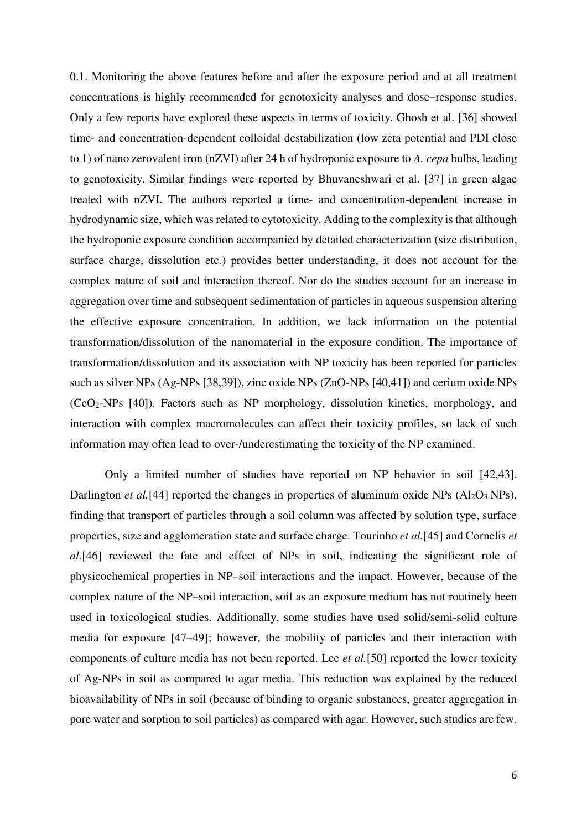0.1. Monitoring the above features before and after the exposure period and at all treatment concentrations is highly recommended for genotoxicity analyses and dose–response studies. Only a few reports have explored these aspects in terms of toxicity. Ghosh et al. [36] showed time- and concentration-dependent colloidal destabilization (low zeta potential and PDI close to 1) of nano zerovalent iron (nZVI) after 24 h of hydroponic exposure to *A. cepa* bulbs, leading to genotoxicity. Similar findings were reported by Bhuvaneshwari et al. [37] in green algae treated with nZVI. The authors reported a time- and concentration-dependent increase in hydrodynamic size, which was related to cytotoxicity. Adding to the complexity is that although the hydroponic exposure condition accompanied by detailed characterization (size distribution, surface charge, dissolution etc.) provides better understanding, it does not account for the complex nature of soil and interaction thereof. Nor do the studies account for an increase in aggregation over time and subsequent sedimentation of particles in aqueous suspension altering the effective exposure concentration. In addition, we lack information on the potential transformation/dissolution of the nanomaterial in the exposure condition. The importance of transformation/dissolution and its association with NP toxicity has been reported for particles such as silver NPs (Ag-NPs [38,39]), zinc oxide NPs (ZnO-NPs [40,41]) and cerium oxide NPs (CeO2-NPs [40]). Factors such as NP morphology, dissolution kinetics, morphology, and interaction with complex macromolecules can affect their toxicity profiles, so lack of such information may often lead to over-/underestimating the toxicity of the NP examined.

Only a limited number of studies have reported on NP behavior in soil [42,43]. Darlington *et al.*[44] reported the changes in properties of aluminum oxide NPs (Al<sub>2</sub>O<sub>3</sub>-NPs), finding that transport of particles through a soil column was affected by solution type, surface properties, size and agglomeration state and surface charge. Tourinho *et al.*[45] and Cornelis *et al.*[46] reviewed the fate and effect of NPs in soil, indicating the significant role of physicochemical properties in NP–soil interactions and the impact. However, because of the complex nature of the NP–soil interaction, soil as an exposure medium has not routinely been used in toxicological studies. Additionally, some studies have used solid/semi-solid culture media for exposure [47–49]; however, the mobility of particles and their interaction with components of culture media has not been reported. Lee *et al.*[50] reported the lower toxicity of Ag-NPs in soil as compared to agar media. This reduction was explained by the reduced bioavailability of NPs in soil (because of binding to organic substances, greater aggregation in pore water and sorption to soil particles) as compared with agar. However, such studies are few.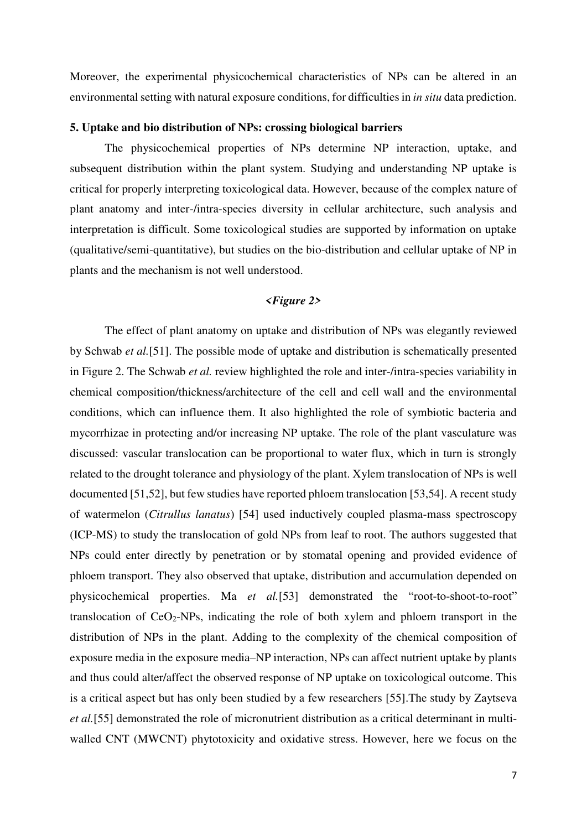Moreover, the experimental physicochemical characteristics of NPs can be altered in an environmental setting with natural exposure conditions, for difficulties in *in situ* data prediction.

# <span id="page-6-0"></span>**5. Uptake and bio distribution of NPs: crossing biological barriers**

The physicochemical properties of NPs determine NP interaction, uptake, and subsequent distribution within the plant system. Studying and understanding NP uptake is critical for properly interpreting toxicological data. However, because of the complex nature of plant anatomy and inter-/intra-species diversity in cellular architecture, such analysis and interpretation is difficult. Some toxicological studies are supported by information on uptake (qualitative/semi-quantitative), but studies on the bio-distribution and cellular uptake of NP in plants and the mechanism is not well understood.

# *<Figure 2>*

The effect of plant anatomy on uptake and distribution of NPs was elegantly reviewed by Schwab *et al.*[51]. The possible mode of uptake and distribution is schematically presented in Figure 2. The Schwab *et al.* review highlighted the role and inter-/intra-species variability in chemical composition/thickness/architecture of the cell and cell wall and the environmental conditions, which can influence them. It also highlighted the role of symbiotic bacteria and mycorrhizae in protecting and/or increasing NP uptake. The role of the plant vasculature was discussed: vascular translocation can be proportional to water flux, which in turn is strongly related to the drought tolerance and physiology of the plant. Xylem translocation of NPs is well documented [51,52], but few studies have reported phloem translocation [53,54]. A recent study of watermelon (*Citrullus lanatus*) [54] used inductively coupled plasma-mass spectroscopy (ICP-MS) to study the translocation of gold NPs from leaf to root. The authors suggested that NPs could enter directly by penetration or by stomatal opening and provided evidence of phloem transport. They also observed that uptake, distribution and accumulation depended on physicochemical properties. Ma *et al.*[53] demonstrated the "root-to-shoot-to-root" translocation of  $CeO<sub>2</sub>-NPs$ , indicating the role of both xylem and phloem transport in the distribution of NPs in the plant. Adding to the complexity of the chemical composition of exposure media in the exposure media–NP interaction, NPs can affect nutrient uptake by plants and thus could alter/affect the observed response of NP uptake on toxicological outcome. This is a critical aspect but has only been studied by a few researchers [55].The study by Zaytseva *et al.*[55] demonstrated the role of micronutrient distribution as a critical determinant in multiwalled CNT (MWCNT) phytotoxicity and oxidative stress. However, here we focus on the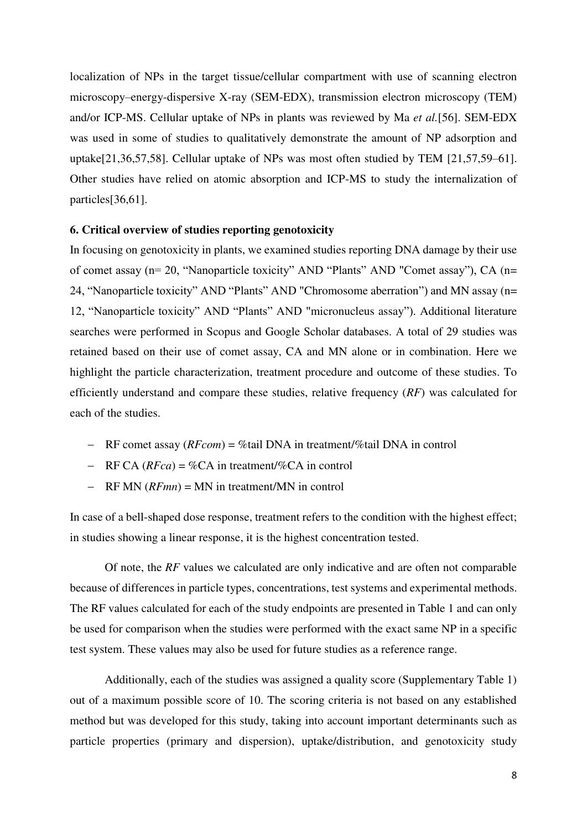localization of NPs in the target tissue/cellular compartment with use of scanning electron microscopy–energy-dispersive X-ray (SEM-EDX), transmission electron microscopy (TEM) and/or ICP-MS. Cellular uptake of NPs in plants was reviewed by Ma *et al.*[56]. SEM-EDX was used in some of studies to qualitatively demonstrate the amount of NP adsorption and uptake[21,36,57,58]. Cellular uptake of NPs was most often studied by TEM [21,57,59–61]. Other studies have relied on atomic absorption and ICP-MS to study the internalization of particles[36,61].

#### <span id="page-7-0"></span>**6. Critical overview of studies reporting genotoxicity**

In focusing on genotoxicity in plants, we examined studies reporting DNA damage by their use of comet assay (n= 20, "Nanoparticle toxicity" AND "Plants" AND "Comet assay"), CA (n= 24, "Nanoparticle toxicity" AND "Plants" AND "Chromosome aberration") and MN assay (n= 12, "Nanoparticle toxicity" AND "Plants" AND "micronucleus assay"). Additional literature searches were performed in Scopus and Google Scholar databases. A total of 29 studies was retained based on their use of comet assay, CA and MN alone or in combination. Here we highlight the particle characterization, treatment procedure and outcome of these studies. To efficiently understand and compare these studies, relative frequency (*RF*) was calculated for each of the studies.

- RF comet assay (*RFcom*) = %tail DNA in treatment/%tail DNA in control
- $RFCA (RFca) = \%CA$  in treatment/%CA in control
- RF MN (*RFmn*) = MN in treatment/MN in control

In case of a bell-shaped dose response, treatment refers to the condition with the highest effect; in studies showing a linear response, it is the highest concentration tested.

Of note, the *RF* values we calculated are only indicative and are often not comparable because of differences in particle types, concentrations, test systems and experimental methods. The RF values calculated for each of the study endpoints are presented in Table 1 and can only be used for comparison when the studies were performed with the exact same NP in a specific test system. These values may also be used for future studies as a reference range.

Additionally, each of the studies was assigned a quality score (Supplementary Table 1) out of a maximum possible score of 10. The scoring criteria is not based on any established method but was developed for this study, taking into account important determinants such as particle properties (primary and dispersion), uptake/distribution, and genotoxicity study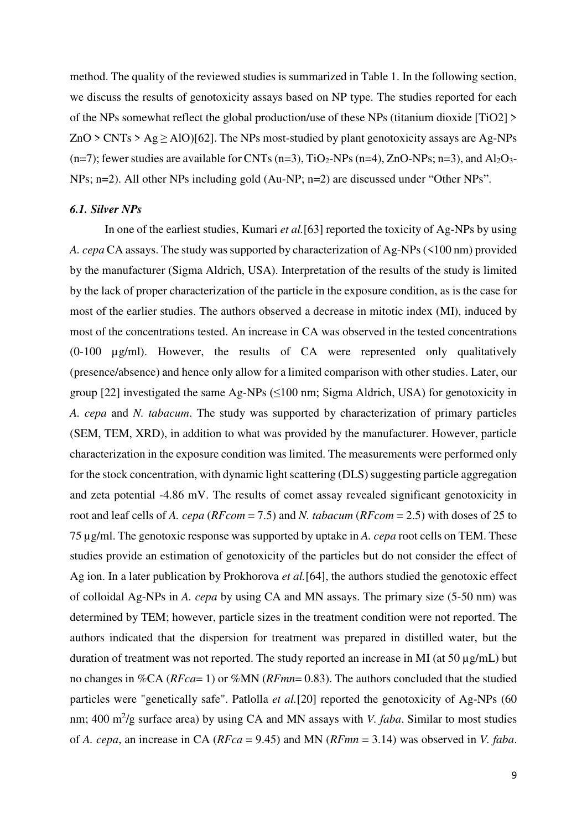method. The quality of the reviewed studies is summarized in Table 1. In the following section, we discuss the results of genotoxicity assays based on NP type. The studies reported for each of the NPs somewhat reflect the global production/use of these NPs (titanium dioxide [TiO2] >  $ZnO > CNTs > Ag \geq AIO$  [62]. The NPs most-studied by plant genotoxicity assays are Ag-NPs (n=7); fewer studies are available for CNTs (n=3), TiO<sub>2</sub>-NPs (n=4), ZnO-NPs; n=3), and Al<sub>2</sub>O<sub>3</sub>-NPs; n=2). All other NPs including gold (Au-NP; n=2) are discussed under "Other NPs".

#### <span id="page-8-0"></span>*6.1. Silver NPs*

In one of the earliest studies, Kumari *et al.*[63] reported the toxicity of Ag-NPs by using *A. cepa* CA assays. The study was supported by characterization of Ag-NPs (<100 nm) provided by the manufacturer (Sigma Aldrich, USA). Interpretation of the results of the study is limited by the lack of proper characterization of the particle in the exposure condition, as is the case for most of the earlier studies. The authors observed a decrease in mitotic index (MI), induced by most of the concentrations tested. An increase in CA was observed in the tested concentrations (0-100 µg/ml). However, the results of CA were represented only qualitatively (presence/absence) and hence only allow for a limited comparison with other studies. Later, our group [22] investigated the same Ag-NPs  $(\leq 100 \text{ nm}; \text{Sigma} \text{ Aldrich}, \text{USA})$  for genotoxicity in *A. cepa* and *N. tabacum*. The study was supported by characterization of primary particles (SEM, TEM, XRD), in addition to what was provided by the manufacturer. However, particle characterization in the exposure condition was limited. The measurements were performed only for the stock concentration, with dynamic light scattering (DLS) suggesting particle aggregation and zeta potential -4.86 mV. The results of comet assay revealed significant genotoxicity in root and leaf cells of *A. cepa* (*RFcom* = 7.5) and *N. tabacum* (*RFcom* = 2.5) with doses of 25 to 75 µg/ml. The genotoxic response was supported by uptake in *A. cepa* root cells on TEM. These studies provide an estimation of genotoxicity of the particles but do not consider the effect of Ag ion. In a later publication by Prokhorova *et al.*[64], the authors studied the genotoxic effect of colloidal Ag-NPs in *A. cepa* by using CA and MN assays. The primary size (5-50 nm) was determined by TEM; however, particle sizes in the treatment condition were not reported. The authors indicated that the dispersion for treatment was prepared in distilled water, but the duration of treatment was not reported. The study reported an increase in MI (at 50 µg/mL) but no changes in %CA (*RFca*= 1) or %MN (*RFmn*= 0.83). The authors concluded that the studied particles were "genetically safe". Patlolla *et al.*[20] reported the genotoxicity of Ag-NPs (60 nm; 400 m<sup>2</sup>/g surface area) by using CA and MN assays with *V. faba*. Similar to most studies of *A. cepa*, an increase in CA (*RFca* = 9.45) and MN (*RFmn* = 3.14) was observed in *V. faba*.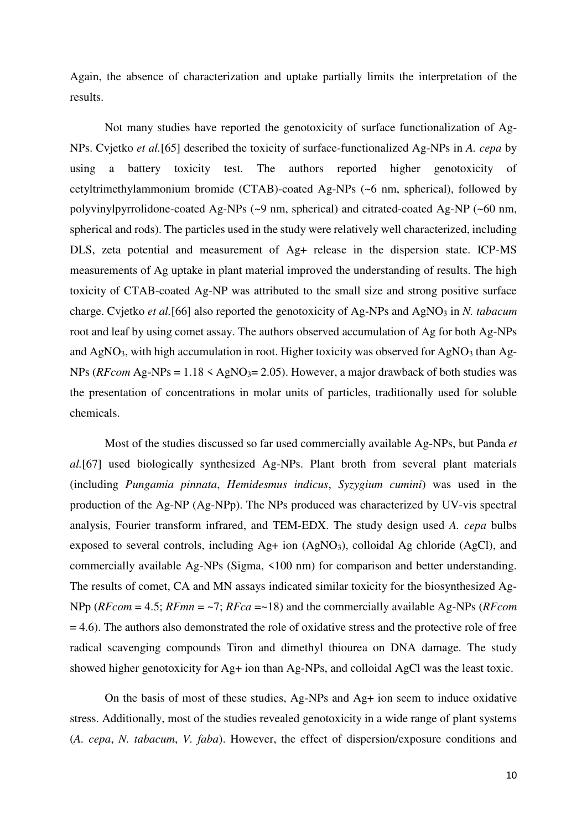Again, the absence of characterization and uptake partially limits the interpretation of the results.

Not many studies have reported the genotoxicity of surface functionalization of Ag-NPs. Cvjetko *et al.*[65] described the toxicity of surface-functionalized Ag-NPs in *A. cepa* by using a battery toxicity test. The authors reported higher genotoxicity of cetyltrimethylammonium bromide (CTAB)-coated Ag-NPs (~6 nm, spherical), followed by polyvinylpyrrolidone-coated Ag-NPs (~9 nm, spherical) and citrated-coated Ag-NP (~60 nm, spherical and rods). The particles used in the study were relatively well characterized, including DLS, zeta potential and measurement of Ag+ release in the dispersion state. ICP-MS measurements of Ag uptake in plant material improved the understanding of results. The high toxicity of CTAB-coated Ag-NP was attributed to the small size and strong positive surface charge. Cvjetko *et al.*[66] also reported the genotoxicity of Ag-NPs and AgNO<sub>3</sub> in *N. tabacum* root and leaf by using comet assay. The authors observed accumulation of Ag for both Ag-NPs and AgNO<sub>3</sub>, with high accumulation in root. Higher toxicity was observed for AgNO<sub>3</sub> than Ag-NPs ( $RFcom$  Ag-NPs =  $1.18 \le AgNO<sub>3</sub>= 2.05$ ). However, a major drawback of both studies was the presentation of concentrations in molar units of particles, traditionally used for soluble chemicals.

Most of the studies discussed so far used commercially available Ag-NPs, but Panda *et al.*[67] used biologically synthesized Ag-NPs. Plant broth from several plant materials (including *Pungamia pinnata*, *Hemidesmus indicus*, *Syzygium cumini*) was used in the production of the Ag-NP (Ag-NPp). The NPs produced was characterized by UV-vis spectral analysis, Fourier transform infrared, and TEM-EDX. The study design used *A. cepa* bulbs exposed to several controls, including Ag+ ion (AgNO<sub>3</sub>), colloidal Ag chloride (AgCl), and commercially available Ag-NPs (Sigma, <100 nm) for comparison and better understanding. The results of comet, CA and MN assays indicated similar toxicity for the biosynthesized Ag-NPp (*RFcom* = 4.5; *RFmn* = ~7; *RFca* =~18) and the commercially available Ag-NPs (*RFcom*   $= 4.6$ ). The authors also demonstrated the role of oxidative stress and the protective role of free radical scavenging compounds Tiron and dimethyl thiourea on DNA damage. The study showed higher genotoxicity for Ag+ ion than Ag-NPs, and colloidal AgCl was the least toxic.

On the basis of most of these studies, Ag-NPs and Ag+ ion seem to induce oxidative stress. Additionally, most of the studies revealed genotoxicity in a wide range of plant systems (*A. cepa*, *N. tabacum*, *V. faba*). However, the effect of dispersion/exposure conditions and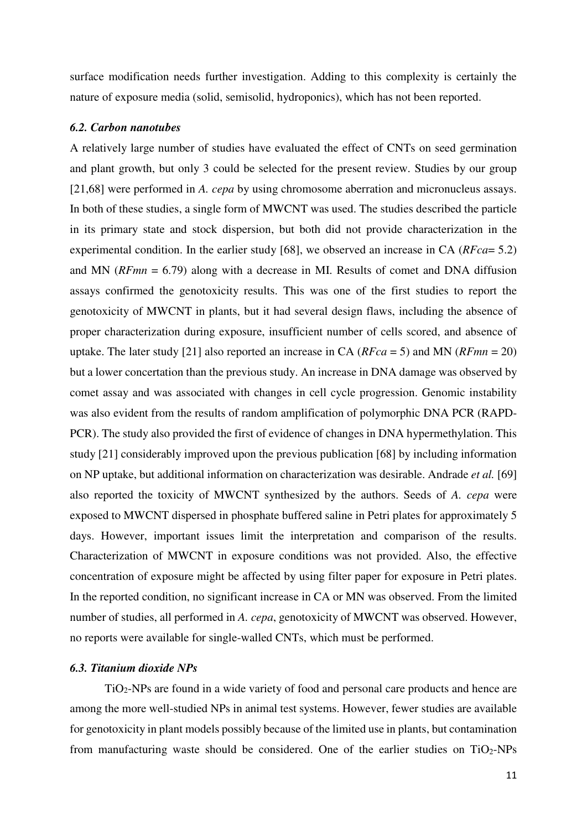surface modification needs further investigation. Adding to this complexity is certainly the nature of exposure media (solid, semisolid, hydroponics), which has not been reported.

#### <span id="page-10-0"></span>*6.2. Carbon nanotubes*

A relatively large number of studies have evaluated the effect of CNTs on seed germination and plant growth, but only 3 could be selected for the present review. Studies by our group [21,68] were performed in *A. cepa* by using chromosome aberration and micronucleus assays. In both of these studies, a single form of MWCNT was used. The studies described the particle in its primary state and stock dispersion, but both did not provide characterization in the experimental condition. In the earlier study [68], we observed an increase in CA (*RFca*= 5.2) and MN (*RFmn* = 6.79) along with a decrease in MI. Results of comet and DNA diffusion assays confirmed the genotoxicity results. This was one of the first studies to report the genotoxicity of MWCNT in plants, but it had several design flaws, including the absence of proper characterization during exposure, insufficient number of cells scored, and absence of uptake. The later study [21] also reported an increase in CA (*RFca* = 5) and MN (*RFmn* = 20) but a lower concertation than the previous study. An increase in DNA damage was observed by comet assay and was associated with changes in cell cycle progression. Genomic instability was also evident from the results of random amplification of polymorphic DNA PCR (RAPD-PCR). The study also provided the first of evidence of changes in DNA hypermethylation. This study [21] considerably improved upon the previous publication [68] by including information on NP uptake, but additional information on characterization was desirable. Andrade *et al.* [69] also reported the toxicity of MWCNT synthesized by the authors. Seeds of *A. cepa* were exposed to MWCNT dispersed in phosphate buffered saline in Petri plates for approximately 5 days. However, important issues limit the interpretation and comparison of the results. Characterization of MWCNT in exposure conditions was not provided. Also, the effective concentration of exposure might be affected by using filter paper for exposure in Petri plates. In the reported condition, no significant increase in CA or MN was observed. From the limited number of studies, all performed in *A. cepa*, genotoxicity of MWCNT was observed. However, no reports were available for single-walled CNTs, which must be performed.

# <span id="page-10-1"></span>*6.3. Titanium dioxide NPs*

TiO2-NPs are found in a wide variety of food and personal care products and hence are among the more well-studied NPs in animal test systems. However, fewer studies are available for genotoxicity in plant models possibly because of the limited use in plants, but contamination from manufacturing waste should be considered. One of the earlier studies on  $TiO<sub>2</sub>-NPs$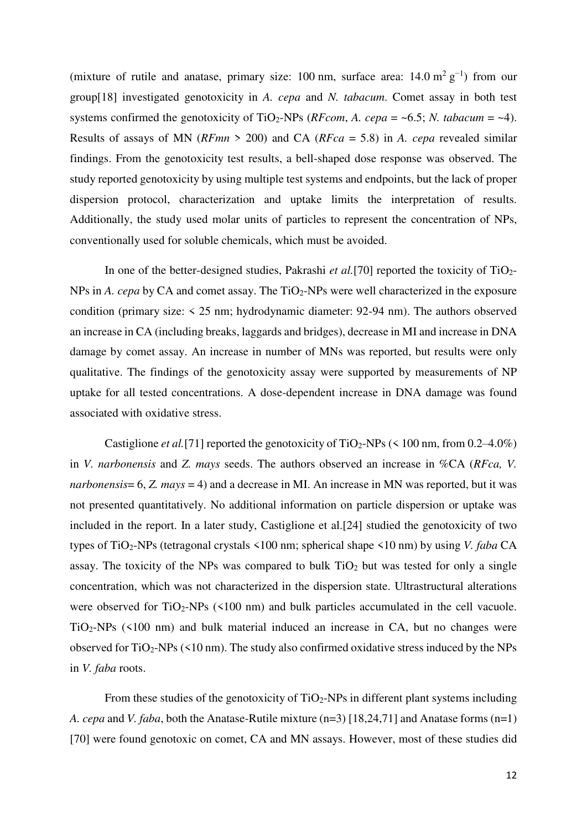(mixture of rutile and anatase, primary size: 100 nm, surface area:  $14.0 \text{ m}^2 \text{ g}^{-1}$ ) from our group[18] investigated genotoxicity in *A. cepa* and *N. tabacum*. Comet assay in both test systems confirmed the genotoxicity of TiO<sub>2</sub>-NPs (*RFcom, A. cepa* =  $\sim$ 6.5; *N. tabacum* =  $\sim$ 4). Results of assays of MN (*RFmn* > 200) and CA (*RFca* = 5.8) in *A. cepa* revealed similar findings. From the genotoxicity test results, a bell-shaped dose response was observed. The study reported genotoxicity by using multiple test systems and endpoints, but the lack of proper dispersion protocol, characterization and uptake limits the interpretation of results. Additionally, the study used molar units of particles to represent the concentration of NPs, conventionally used for soluble chemicals, which must be avoided.

In one of the better-designed studies, Pakrashi *et al.*[70] reported the toxicity of TiO<sub>2</sub>-NPs in *A. cepa* by CA and comet assay. The TiO<sub>2</sub>-NPs were well characterized in the exposure condition (primary size: < 25 nm; hydrodynamic diameter: 92-94 nm). The authors observed an increase in CA (including breaks, laggards and bridges), decrease in MI and increase in DNA damage by comet assay. An increase in number of MNs was reported, but results were only qualitative. The findings of the genotoxicity assay were supported by measurements of NP uptake for all tested concentrations. A dose-dependent increase in DNA damage was found associated with oxidative stress.

Castiglione *et al.*[71] reported the genotoxicity of  $TiO<sub>2</sub>-NPs$  (< 100 nm, from 0.2–4.0%) in *V. narbonensis* and *Z. mays* seeds. The authors observed an increase in %CA (*RFca, V. narbonensis*= 6, *Z. mays* = 4) and a decrease in MI. An increase in MN was reported, but it was not presented quantitatively. No additional information on particle dispersion or uptake was included in the report. In a later study, Castiglione et al.[24] studied the genotoxicity of two types of TiO2-NPs (tetragonal crystals <100 nm; spherical shape <10 nm) by using *V. faba* CA assay. The toxicity of the NPs was compared to bulk  $TiO<sub>2</sub>$  but was tested for only a single concentration, which was not characterized in the dispersion state. Ultrastructural alterations were observed for  $TiO<sub>2</sub>-NPs$  (<100 nm) and bulk particles accumulated in the cell vacuole.  $TiO<sub>2</sub>-NPs$  (<100 nm) and bulk material induced an increase in CA, but no changes were observed for  $TiO<sub>2</sub>-NPs$  (<10 nm). The study also confirmed oxidative stress induced by the NPs in *V. faba* roots.

From these studies of the genotoxicity of  $TiO<sub>2</sub>-NPs$  in different plant systems including *A. cepa* and *V. faba*, both the Anatase-Rutile mixture (n=3) [18,24,71] and Anatase forms (n=1) [70] were found genotoxic on comet, CA and MN assays. However, most of these studies did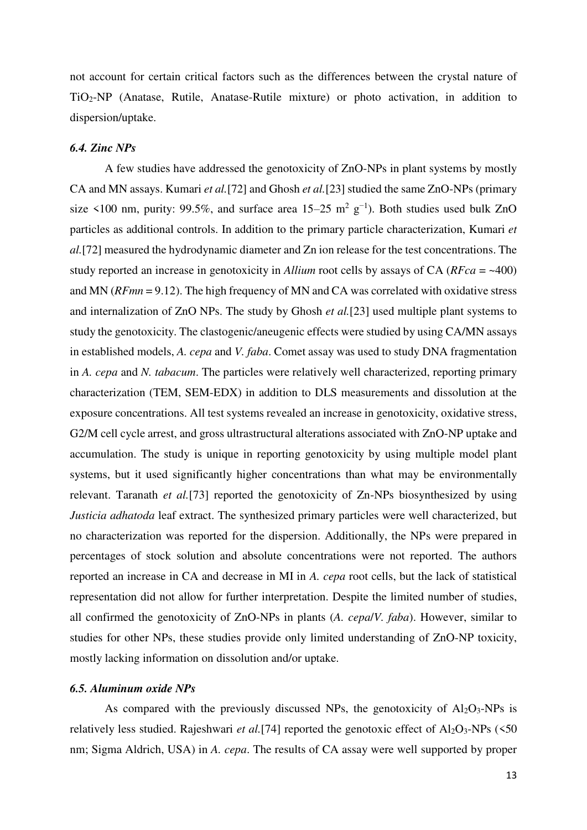not account for certain critical factors such as the differences between the crystal nature of TiO2-NP (Anatase, Rutile, Anatase-Rutile mixture) or photo activation, in addition to dispersion/uptake.

# <span id="page-12-0"></span>*6.4. Zinc NPs*

A few studies have addressed the genotoxicity of ZnO-NPs in plant systems by mostly CA and MN assays. Kumari *et al.*[72] and Ghosh *et al.*[23] studied the same ZnO-NPs (primary size <100 nm, purity: 99.5%, and surface area  $15-25$  m<sup>2</sup> g<sup>-1</sup>). Both studies used bulk ZnO particles as additional controls. In addition to the primary particle characterization, Kumari *et al.*[72] measured the hydrodynamic diameter and Zn ion release for the test concentrations. The study reported an increase in genotoxicity in *Allium* root cells by assays of CA (*RFca* = ~400) and MN (*RFmn* = 9.12). The high frequency of MN and CA was correlated with oxidative stress and internalization of ZnO NPs. The study by Ghosh *et al.*[23] used multiple plant systems to study the genotoxicity. The clastogenic/aneugenic effects were studied by using CA/MN assays in established models, *A. cepa* and *V. faba*. Comet assay was used to study DNA fragmentation in *A. cepa* and *N. tabacum*. The particles were relatively well characterized, reporting primary characterization (TEM, SEM-EDX) in addition to DLS measurements and dissolution at the exposure concentrations. All test systems revealed an increase in genotoxicity, oxidative stress, G2/M cell cycle arrest, and gross ultrastructural alterations associated with ZnO-NP uptake and accumulation. The study is unique in reporting genotoxicity by using multiple model plant systems, but it used significantly higher concentrations than what may be environmentally relevant. Taranath *et al.*[73] reported the genotoxicity of Zn-NPs biosynthesized by using *Justicia adhatoda* leaf extract. The synthesized primary particles were well characterized, but no characterization was reported for the dispersion. Additionally, the NPs were prepared in percentages of stock solution and absolute concentrations were not reported. The authors reported an increase in CA and decrease in MI in *A. cepa* root cells, but the lack of statistical representation did not allow for further interpretation. Despite the limited number of studies, all confirmed the genotoxicity of ZnO-NPs in plants (*A. cepa*/*V. faba*). However, similar to studies for other NPs, these studies provide only limited understanding of ZnO-NP toxicity, mostly lacking information on dissolution and/or uptake.

#### <span id="page-12-1"></span>*6.5. Aluminum oxide NPs*

As compared with the previously discussed NPs, the genotoxicity of  $Al_2O_3$ -NPs is relatively less studied. Rajeshwari *et al.*[74] reported the genotoxic effect of Al<sub>2</sub>O<sub>3</sub>-NPs (<50 nm; Sigma Aldrich, USA) in *A. cepa*. The results of CA assay were well supported by proper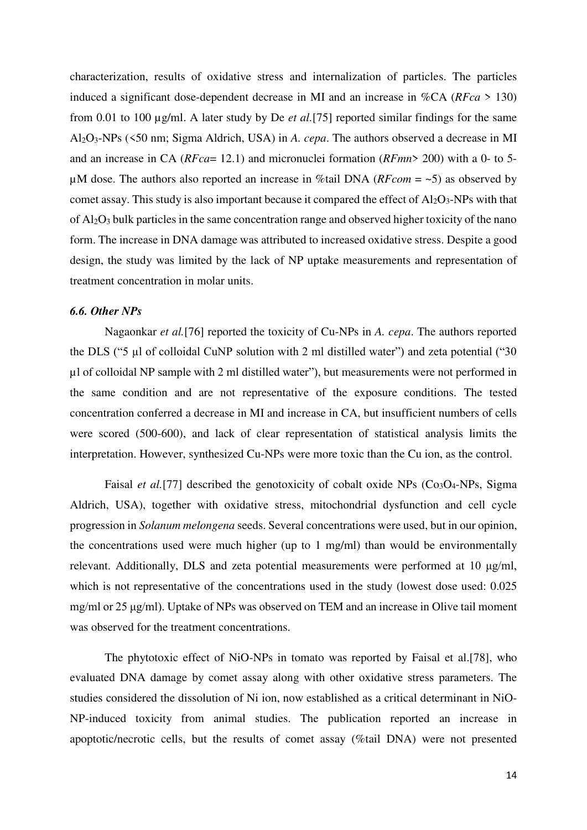characterization, results of oxidative stress and internalization of particles. The particles induced a significant dose-dependent decrease in MI and an increase in %CA (*RFca* > 130) from 0.01 to 100 µg/ml. A later study by De *et al.*[75] reported similar findings for the same Al2O3-NPs (<50 nm; Sigma Aldrich, USA) in *A. cepa*. The authors observed a decrease in MI and an increase in CA (*RFca*= 12.1) and micronuclei formation (*RFmn*> 200) with a 0- to 5 µM dose. The authors also reported an increase in %tail DNA (*RFcom* = ~5) as observed by comet assay. This study is also important because it compared the effect of  $Al_2O_3$ -NPs with that of Al2O3 bulk particles in the same concentration range and observed higher toxicity of the nano form. The increase in DNA damage was attributed to increased oxidative stress. Despite a good design, the study was limited by the lack of NP uptake measurements and representation of treatment concentration in molar units.

# <span id="page-13-0"></span>*6.6. Other NPs*

Nagaonkar *et al.*[76] reported the toxicity of Cu-NPs in *A. cepa*. The authors reported the DLS ("5 µl of colloidal CuNP solution with 2 ml distilled water") and zeta potential ("30 µl of colloidal NP sample with 2 ml distilled water"), but measurements were not performed in the same condition and are not representative of the exposure conditions. The tested concentration conferred a decrease in MI and increase in CA, but insufficient numbers of cells were scored (500-600), and lack of clear representation of statistical analysis limits the interpretation. However, synthesized Cu-NPs were more toxic than the Cu ion, as the control.

Faisal *et al.*[77] described the genotoxicity of cobalt oxide NPs (Co<sub>3</sub>O<sub>4</sub>-NPs, Sigma) Aldrich, USA), together with oxidative stress, mitochondrial dysfunction and cell cycle progression in *Solanum melongena* seeds. Several concentrations were used, but in our opinion, the concentrations used were much higher (up to 1 mg/ml) than would be environmentally relevant. Additionally, DLS and zeta potential measurements were performed at 10 μg/ml, which is not representative of the concentrations used in the study (lowest dose used: 0.025 mg/ml or 25 μg/ml). Uptake of NPs was observed on TEM and an increase in Olive tail moment was observed for the treatment concentrations.

The phytotoxic effect of NiO-NPs in tomato was reported by Faisal et al.[78], who evaluated DNA damage by comet assay along with other oxidative stress parameters. The studies considered the dissolution of Ni ion, now established as a critical determinant in NiO-NP-induced toxicity from animal studies. The publication reported an increase in apoptotic/necrotic cells, but the results of comet assay (%tail DNA) were not presented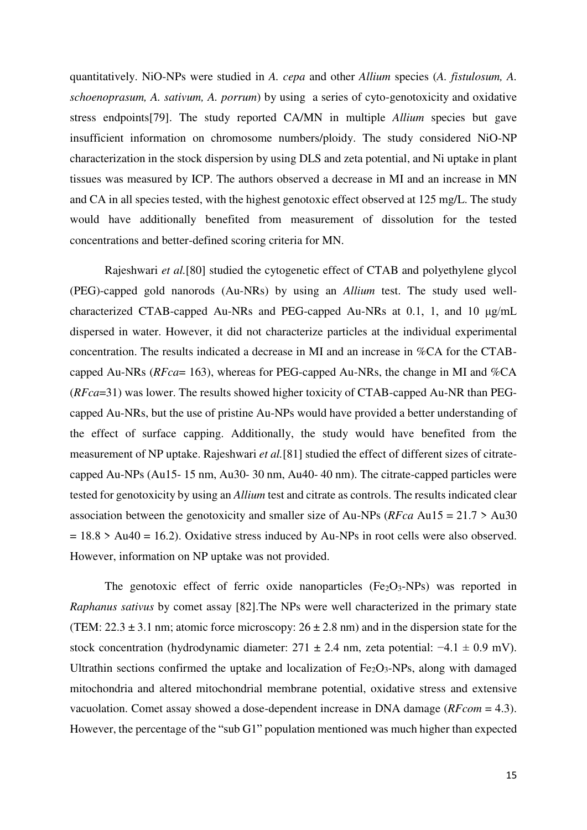quantitatively. NiO-NPs were studied in *A. cepa* and other *Allium* species (*A. fistulosum, A. schoenoprasum, A. sativum, A. porrum*) by using a series of cyto-genotoxicity and oxidative stress endpoints[79]. The study reported CA/MN in multiple *Allium* species but gave insufficient information on chromosome numbers/ploidy. The study considered NiO-NP characterization in the stock dispersion by using DLS and zeta potential, and Ni uptake in plant tissues was measured by ICP. The authors observed a decrease in MI and an increase in MN and CA in all species tested, with the highest genotoxic effect observed at 125 mg/L. The study would have additionally benefited from measurement of dissolution for the tested concentrations and better-defined scoring criteria for MN.

Rajeshwari *et al.*[80] studied the cytogenetic effect of CTAB and polyethylene glycol (PEG)-capped gold nanorods (Au-NRs) by using an *Allium* test. The study used wellcharacterized CTAB-capped Au-NRs and PEG-capped Au-NRs at 0.1, 1, and 10 μg/mL dispersed in water. However, it did not characterize particles at the individual experimental concentration. The results indicated a decrease in MI and an increase in %CA for the CTABcapped Au-NRs (*RFca*= 163), whereas for PEG-capped Au-NRs, the change in MI and %CA (*RFca*=31) was lower. The results showed higher toxicity of CTAB-capped Au-NR than PEGcapped Au-NRs, but the use of pristine Au-NPs would have provided a better understanding of the effect of surface capping. Additionally, the study would have benefited from the measurement of NP uptake. Rajeshwari *et al.*[81] studied the effect of different sizes of citratecapped Au-NPs (Au15- 15 nm, Au30- 30 nm, Au40- 40 nm). The citrate-capped particles were tested for genotoxicity by using an *Allium* test and citrate as controls. The results indicated clear association between the genotoxicity and smaller size of Au-NPs (*RFca* Au15 = 21.7 > Au30  $= 18.8$  > Au40 = 16.2). Oxidative stress induced by Au-NPs in root cells were also observed. However, information on NP uptake was not provided.

The genotoxic effect of ferric oxide nanoparticles  $(Fe<sub>2</sub>O<sub>3</sub>-NPs)$  was reported in *Raphanus sativus* by comet assay [82].The NPs were well characterized in the primary state (TEM:  $22.3 \pm 3.1$  nm; atomic force microscopy:  $26 \pm 2.8$  nm) and in the dispersion state for the stock concentration (hydrodynamic diameter:  $271 \pm 2.4$  nm, zeta potential:  $-4.1 \pm 0.9$  mV). Ultrathin sections confirmed the uptake and localization of  $Fe<sub>2</sub>O<sub>3</sub>$ -NPs, along with damaged mitochondria and altered mitochondrial membrane potential, oxidative stress and extensive vacuolation. Comet assay showed a dose-dependent increase in DNA damage (*RFcom* = 4.3). However, the percentage of the "sub G1" population mentioned was much higher than expected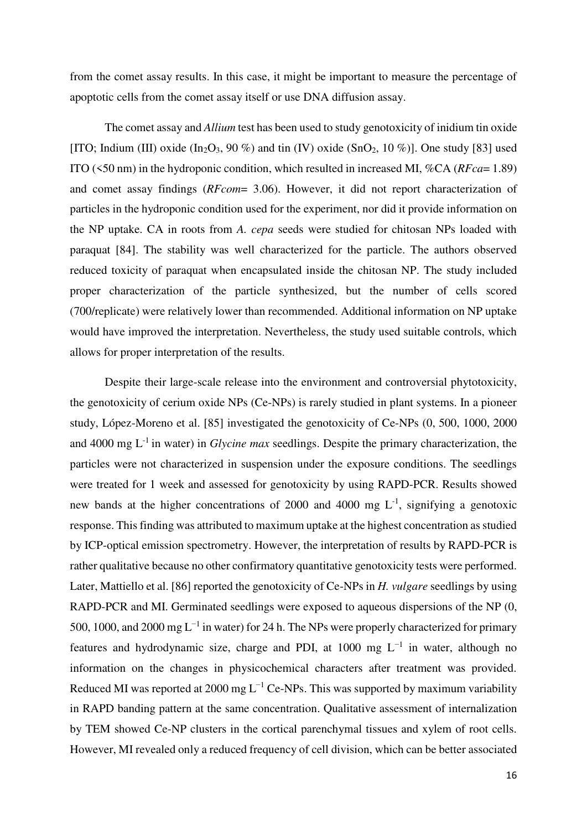from the comet assay results. In this case, it might be important to measure the percentage of apoptotic cells from the comet assay itself or use DNA diffusion assay.

The comet assay and *Allium* test has been used to study genotoxicity of inidium tin oxide [ITO; Indium (III) oxide (In<sub>2</sub>O<sub>3</sub>, 90 %) and tin (IV) oxide (SnO<sub>2</sub>, 10 %)]. One study [83] used ITO (<50 nm) in the hydroponic condition, which resulted in increased MI, %CA (*RFca*= 1.89) and comet assay findings (*RFcom*= 3.06). However, it did not report characterization of particles in the hydroponic condition used for the experiment, nor did it provide information on the NP uptake. CA in roots from *A. cepa* seeds were studied for chitosan NPs loaded with paraquat [84]. The stability was well characterized for the particle. The authors observed reduced toxicity of paraquat when encapsulated inside the chitosan NP. The study included proper characterization of the particle synthesized, but the number of cells scored (700/replicate) were relatively lower than recommended. Additional information on NP uptake would have improved the interpretation. Nevertheless, the study used suitable controls, which allows for proper interpretation of the results.

Despite their large-scale release into the environment and controversial phytotoxicity, the genotoxicity of cerium oxide NPs (Ce-NPs) is rarely studied in plant systems. In a pioneer study, López-Moreno et al. [85] investigated the genotoxicity of Ce-NPs (0, 500, 1000, 2000 and 4000 mg L-1 in water) in *Glycine max* seedlings. Despite the primary characterization, the particles were not characterized in suspension under the exposure conditions. The seedlings were treated for 1 week and assessed for genotoxicity by using RAPD-PCR. Results showed new bands at the higher concentrations of 2000 and 4000 mg  $L^{-1}$ , signifying a genotoxic response. This finding was attributed to maximum uptake at the highest concentration as studied by ICP-optical emission spectrometry. However, the interpretation of results by RAPD-PCR is rather qualitative because no other confirmatory quantitative genotoxicity tests were performed. Later, Mattiello et al. [86] reported the genotoxicity of Ce-NPs in *H. vulgare* seedlings by using RAPD-PCR and MI. Germinated seedlings were exposed to aqueous dispersions of the NP (0, 500, 1000, and 2000 mg L<sup>-1</sup> in water) for 24 h. The NPs were properly characterized for primary features and hydrodynamic size, charge and PDI, at 1000 mg  $L^{-1}$  in water, although no information on the changes in physicochemical characters after treatment was provided. Reduced MI was reported at 2000 mg  $L^{-1}$  Ce-NPs. This was supported by maximum variability in RAPD banding pattern at the same concentration. Qualitative assessment of internalization by TEM showed Ce-NP clusters in the cortical parenchymal tissues and xylem of root cells. However, MI revealed only a reduced frequency of cell division, which can be better associated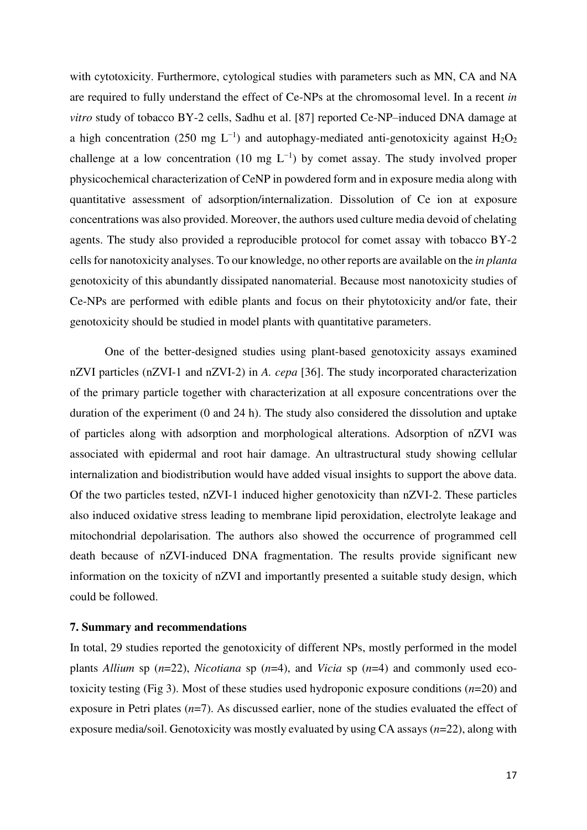with cytotoxicity. Furthermore, cytological studies with parameters such as MN, CA and NA are required to fully understand the effect of Ce-NPs at the chromosomal level. In a recent *in vitro* study of tobacco BY-2 cells, Sadhu et al. [87] reported Ce-NP–induced DNA damage at a high concentration (250 mg L<sup>-1</sup>) and autophagy-mediated anti-genotoxicity against H<sub>2</sub>O<sub>2</sub> challenge at a low concentration (10 mg  $L^{-1}$ ) by comet assay. The study involved proper physicochemical characterization of CeNP in powdered form and in exposure media along with quantitative assessment of adsorption/internalization. Dissolution of Ce ion at exposure concentrations was also provided. Moreover, the authors used culture media devoid of chelating agents. The study also provided a reproducible protocol for comet assay with tobacco BY-2 cells for nanotoxicity analyses. To our knowledge, no other reports are available on the *in planta* genotoxicity of this abundantly dissipated nanomaterial. Because most nanotoxicity studies of Ce-NPs are performed with edible plants and focus on their phytotoxicity and/or fate, their genotoxicity should be studied in model plants with quantitative parameters.

One of the better-designed studies using plant-based genotoxicity assays examined nZVI particles (nZVI-1 and nZVI-2) in *A. cepa* [36]. The study incorporated characterization of the primary particle together with characterization at all exposure concentrations over the duration of the experiment (0 and 24 h). The study also considered the dissolution and uptake of particles along with adsorption and morphological alterations. Adsorption of nZVI was associated with epidermal and root hair damage. An ultrastructural study showing cellular internalization and biodistribution would have added visual insights to support the above data. Of the two particles tested, nZVI-1 induced higher genotoxicity than nZVI-2. These particles also induced oxidative stress leading to membrane lipid peroxidation, electrolyte leakage and mitochondrial depolarisation. The authors also showed the occurrence of programmed cell death because of nZVI-induced DNA fragmentation. The results provide significant new information on the toxicity of nZVI and importantly presented a suitable study design, which could be followed.

#### <span id="page-16-0"></span>**7. Summary and recommendations**

In total, 29 studies reported the genotoxicity of different NPs, mostly performed in the model plants *Allium* sp  $(n=22)$ , *Nicotiana* sp  $(n=4)$ , and *Vicia* sp  $(n=4)$  and commonly used ecotoxicity testing (Fig 3). Most of these studies used hydroponic exposure conditions (*n*=20) and exposure in Petri plates (*n*=7). As discussed earlier, none of the studies evaluated the effect of exposure media/soil. Genotoxicity was mostly evaluated by using CA assays (*n*=22), along with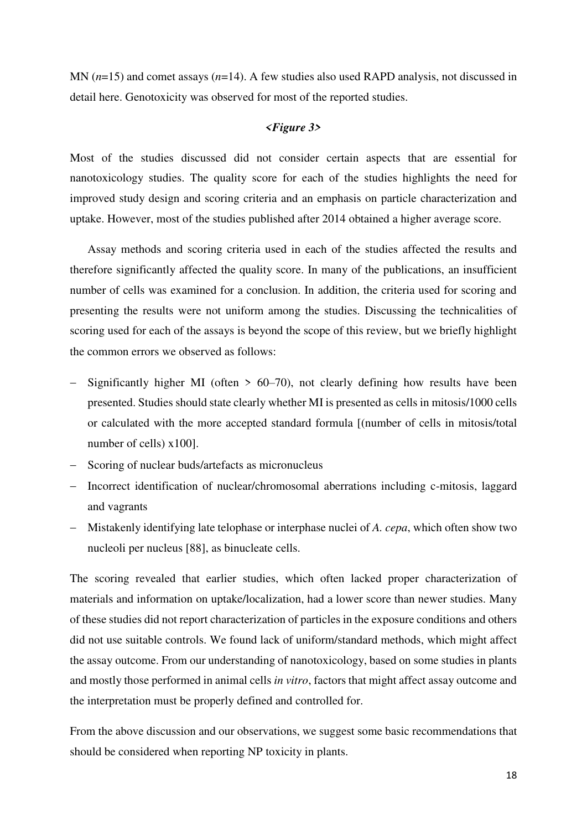MN (*n*=15) and comet assays (*n*=14). A few studies also used RAPD analysis, not discussed in detail here. Genotoxicity was observed for most of the reported studies.

### *<Figure 3>*

Most of the studies discussed did not consider certain aspects that are essential for nanotoxicology studies. The quality score for each of the studies highlights the need for improved study design and scoring criteria and an emphasis on particle characterization and uptake. However, most of the studies published after 2014 obtained a higher average score.

Assay methods and scoring criteria used in each of the studies affected the results and therefore significantly affected the quality score. In many of the publications, an insufficient number of cells was examined for a conclusion. In addition, the criteria used for scoring and presenting the results were not uniform among the studies. Discussing the technicalities of scoring used for each of the assays is beyond the scope of this review, but we briefly highlight the common errors we observed as follows:

- Significantly higher MI (often  $> 60-70$ ), not clearly defining how results have been presented. Studies should state clearly whether MI is presented as cells in mitosis/1000 cells or calculated with the more accepted standard formula [(number of cells in mitosis/total number of cells) x100].
- Scoring of nuclear buds/artefacts as micronucleus
- Incorrect identification of nuclear/chromosomal aberrations including c-mitosis, laggard and vagrants
- Mistakenly identifying late telophase or interphase nuclei of *A. cepa*, which often show two nucleoli per nucleus [88], as binucleate cells.

The scoring revealed that earlier studies, which often lacked proper characterization of materials and information on uptake/localization, had a lower score than newer studies. Many of these studies did not report characterization of particles in the exposure conditions and others did not use suitable controls. We found lack of uniform/standard methods, which might affect the assay outcome. From our understanding of nanotoxicology, based on some studies in plants and mostly those performed in animal cells *in vitro*, factors that might affect assay outcome and the interpretation must be properly defined and controlled for.

From the above discussion and our observations, we suggest some basic recommendations that should be considered when reporting NP toxicity in plants.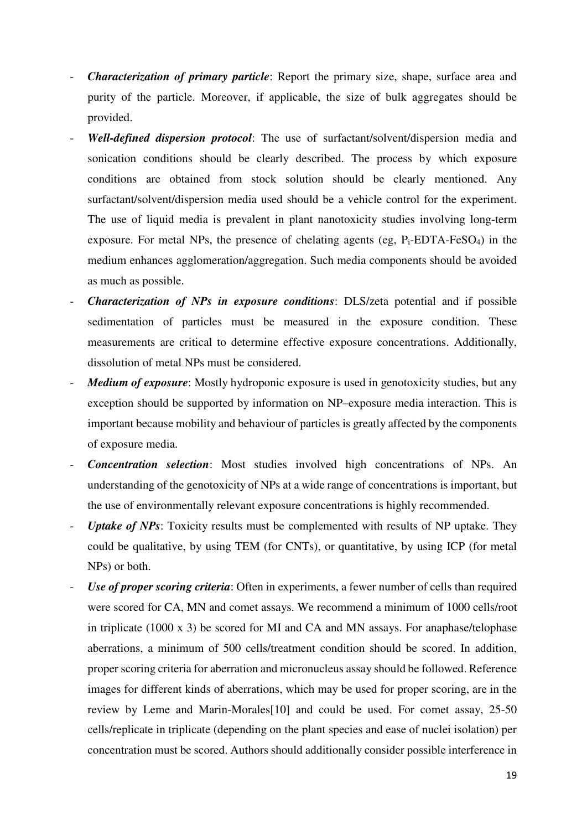- *Characterization of primary particle*: Report the primary size, shape, surface area and purity of the particle. Moreover, if applicable, the size of bulk aggregates should be provided.
- *Well-defined dispersion protocol*: The use of surfactant/solvent/dispersion media and sonication conditions should be clearly described. The process by which exposure conditions are obtained from stock solution should be clearly mentioned. Any surfactant/solvent/dispersion media used should be a vehicle control for the experiment. The use of liquid media is prevalent in plant nanotoxicity studies involving long-term exposure. For metal NPs, the presence of chelating agents (eg,  $P_i$ -EDTA-FeSO<sub>4</sub>) in the medium enhances agglomeration/aggregation. Such media components should be avoided as much as possible.
- *Characterization of NPs in exposure conditions*: DLS/zeta potential and if possible sedimentation of particles must be measured in the exposure condition. These measurements are critical to determine effective exposure concentrations. Additionally, dissolution of metal NPs must be considered.
- *Medium of exposure*: Mostly hydroponic exposure is used in genotoxicity studies, but any exception should be supported by information on NP–exposure media interaction. This is important because mobility and behaviour of particles is greatly affected by the components of exposure media.
- *Concentration selection*: Most studies involved high concentrations of NPs. An understanding of the genotoxicity of NPs at a wide range of concentrations is important, but the use of environmentally relevant exposure concentrations is highly recommended.
- *Uptake of NPs*: Toxicity results must be complemented with results of NP uptake. They could be qualitative, by using TEM (for CNTs), or quantitative, by using ICP (for metal NPs) or both.
- *Use of proper scoring criteria*: Often in experiments, a fewer number of cells than required were scored for CA, MN and comet assays. We recommend a minimum of 1000 cells/root in triplicate (1000 x 3) be scored for MI and CA and MN assays. For anaphase/telophase aberrations, a minimum of 500 cells/treatment condition should be scored. In addition, proper scoring criteria for aberration and micronucleus assay should be followed. Reference images for different kinds of aberrations, which may be used for proper scoring, are in the review by Leme and Marin-Morales[10] and could be used. For comet assay, 25-50 cells/replicate in triplicate (depending on the plant species and ease of nuclei isolation) per concentration must be scored. Authors should additionally consider possible interference in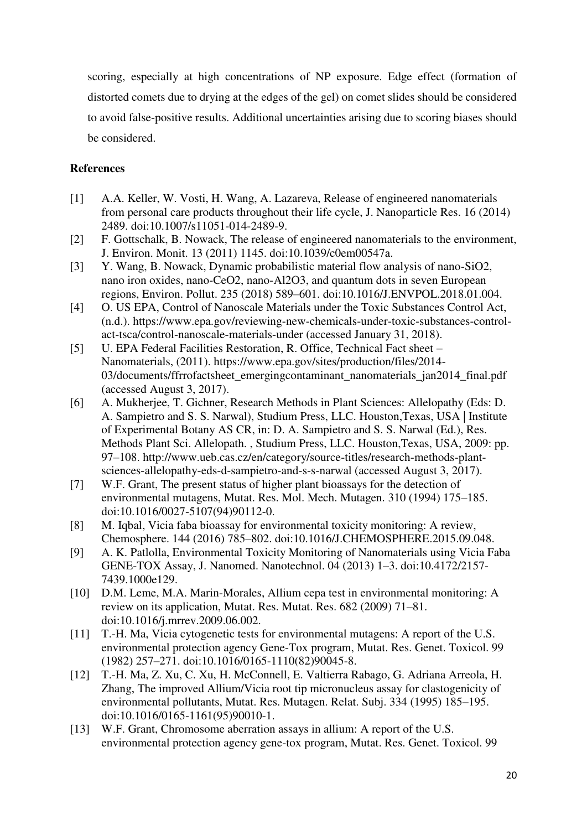scoring, especially at high concentrations of NP exposure. Edge effect (formation of distorted comets due to drying at the edges of the gel) on comet slides should be considered to avoid false-positive results. Additional uncertainties arising due to scoring biases should be considered.

# **References**

- [1] A.A. Keller, W. Vosti, H. Wang, A. Lazareva, Release of engineered nanomaterials from personal care products throughout their life cycle, J. Nanoparticle Res. 16 (2014) 2489. doi:10.1007/s11051-014-2489-9.
- [2] F. Gottschalk, B. Nowack, The release of engineered nanomaterials to the environment, J. Environ. Monit. 13 (2011) 1145. doi:10.1039/c0em00547a.
- [3] Y. Wang, B. Nowack, Dynamic probabilistic material flow analysis of nano-SiO2, nano iron oxides, nano-CeO2, nano-Al2O3, and quantum dots in seven European regions, Environ. Pollut. 235 (2018) 589–601. doi:10.1016/J.ENVPOL.2018.01.004.
- [4] O. US EPA, Control of Nanoscale Materials under the Toxic Substances Control Act, (n.d.). https://www.epa.gov/reviewing-new-chemicals-under-toxic-substances-controlact-tsca/control-nanoscale-materials-under (accessed January 31, 2018).
- [5] U. EPA Federal Facilities Restoration, R. Office, Technical Fact sheet Nanomaterials, (2011). https://www.epa.gov/sites/production/files/2014- 03/documents/ffrrofactsheet\_emergingcontaminant\_nanomaterials\_jan2014\_final.pdf (accessed August 3, 2017).
- [6] A. Mukherjee, T. Gichner, Research Methods in Plant Sciences: Allelopathy (Eds: D. A. Sampietro and S. S. Narwal), Studium Press, LLC. Houston,Texas, USA | Institute of Experimental Botany AS CR, in: D. A. Sampietro and S. S. Narwal (Ed.), Res. Methods Plant Sci. Allelopath. , Studium Press, LLC. Houston,Texas, USA, 2009: pp. 97–108. http://www.ueb.cas.cz/en/category/source-titles/research-methods-plantsciences-allelopathy-eds-d-sampietro-and-s-s-narwal (accessed August 3, 2017).
- [7] W.F. Grant, The present status of higher plant bioassays for the detection of environmental mutagens, Mutat. Res. Mol. Mech. Mutagen. 310 (1994) 175–185. doi:10.1016/0027-5107(94)90112-0.
- [8] M. Iqbal, Vicia faba bioassay for environmental toxicity monitoring: A review, Chemosphere. 144 (2016) 785–802. doi:10.1016/J.CHEMOSPHERE.2015.09.048.
- [9] A. K. Patlolla, Environmental Toxicity Monitoring of Nanomaterials using Vicia Faba GENE-TOX Assay, J. Nanomed. Nanotechnol. 04 (2013) 1–3. doi:10.4172/2157- 7439.1000e129.
- [10] D.M. Leme, M.A. Marin-Morales, Allium cepa test in environmental monitoring: A review on its application, Mutat. Res. Mutat. Res. 682 (2009) 71–81. doi:10.1016/j.mrrev.2009.06.002.
- [11] T.-H. Ma, Vicia cytogenetic tests for environmental mutagens: A report of the U.S. environmental protection agency Gene-Tox program, Mutat. Res. Genet. Toxicol. 99 (1982) 257–271. doi:10.1016/0165-1110(82)90045-8.
- [12] T.-H. Ma, Z. Xu, C. Xu, H. McConnell, E. Valtierra Rabago, G. Adriana Arreola, H. Zhang, The improved Allium/Vicia root tip micronucleus assay for clastogenicity of environmental pollutants, Mutat. Res. Mutagen. Relat. Subj. 334 (1995) 185–195. doi:10.1016/0165-1161(95)90010-1.
- [13] W.F. Grant, Chromosome aberration assays in allium: A report of the U.S. environmental protection agency gene-tox program, Mutat. Res. Genet. Toxicol. 99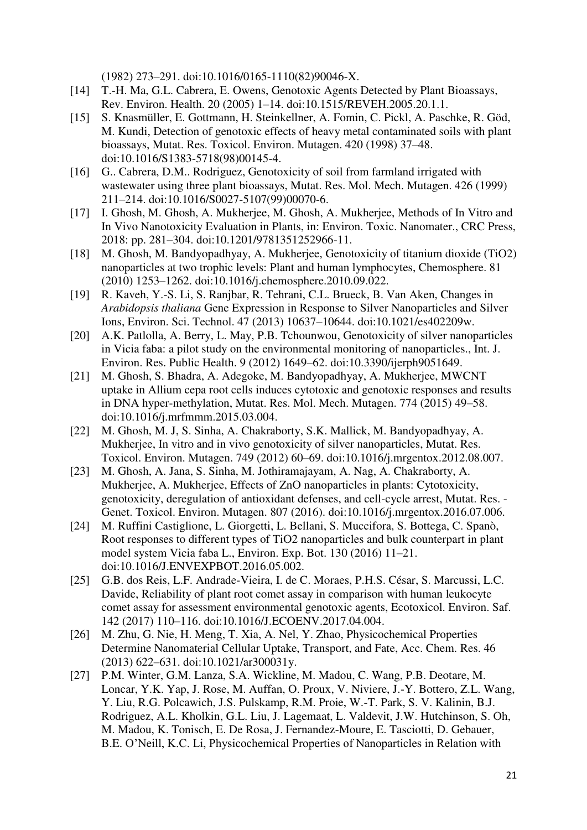(1982) 273–291. doi:10.1016/0165-1110(82)90046-X.

- [14] T.-H. Ma, G.L. Cabrera, E. Owens, Genotoxic Agents Detected by Plant Bioassays, Rev. Environ. Health. 20 (2005) 1–14. doi:10.1515/REVEH.2005.20.1.1.
- [15] S. Knasmüller, E. Gottmann, H. Steinkellner, A. Fomin, C. Pickl, A. Paschke, R. Göd, M. Kundi, Detection of genotoxic effects of heavy metal contaminated soils with plant bioassays, Mutat. Res. Toxicol. Environ. Mutagen. 420 (1998) 37–48. doi:10.1016/S1383-5718(98)00145-4.
- [16] G.. Cabrera, D.M.. Rodriguez, Genotoxicity of soil from farmland irrigated with wastewater using three plant bioassays, Mutat. Res. Mol. Mech. Mutagen. 426 (1999) 211–214. doi:10.1016/S0027-5107(99)00070-6.
- [17] I. Ghosh, M. Ghosh, A. Mukherjee, M. Ghosh, A. Mukherjee, Methods of In Vitro and In Vivo Nanotoxicity Evaluation in Plants, in: Environ. Toxic. Nanomater., CRC Press, 2018: pp. 281–304. doi:10.1201/9781351252966-11.
- [18] M. Ghosh, M. Bandyopadhyay, A. Mukherjee, Genotoxicity of titanium dioxide (TiO2) nanoparticles at two trophic levels: Plant and human lymphocytes, Chemosphere. 81 (2010) 1253–1262. doi:10.1016/j.chemosphere.2010.09.022.
- [19] R. Kaveh, Y.-S. Li, S. Ranjbar, R. Tehrani, C.L. Brueck, B. Van Aken, Changes in *Arabidopsis thaliana* Gene Expression in Response to Silver Nanoparticles and Silver Ions, Environ. Sci. Technol. 47 (2013) 10637–10644. doi:10.1021/es402209w.
- [20] A.K. Patlolla, A. Berry, L. May, P.B. Tchounwou, Genotoxicity of silver nanoparticles in Vicia faba: a pilot study on the environmental monitoring of nanoparticles., Int. J. Environ. Res. Public Health. 9 (2012) 1649–62. doi:10.3390/ijerph9051649.
- [21] M. Ghosh, S. Bhadra, A. Adegoke, M. Bandyopadhyay, A. Mukherjee, MWCNT uptake in Allium cepa root cells induces cytotoxic and genotoxic responses and results in DNA hyper-methylation, Mutat. Res. Mol. Mech. Mutagen. 774 (2015) 49–58. doi:10.1016/j.mrfmmm.2015.03.004.
- [22] M. Ghosh, M. J, S. Sinha, A. Chakraborty, S.K. Mallick, M. Bandyopadhyay, A. Mukherjee, In vitro and in vivo genotoxicity of silver nanoparticles, Mutat. Res. Toxicol. Environ. Mutagen. 749 (2012) 60–69. doi:10.1016/j.mrgentox.2012.08.007.
- [23] M. Ghosh, A. Jana, S. Sinha, M. Jothiramajayam, A. Nag, A. Chakraborty, A. Mukherjee, A. Mukherjee, Effects of ZnO nanoparticles in plants: Cytotoxicity, genotoxicity, deregulation of antioxidant defenses, and cell-cycle arrest, Mutat. Res. - Genet. Toxicol. Environ. Mutagen. 807 (2016). doi:10.1016/j.mrgentox.2016.07.006.
- [24] M. Ruffini Castiglione, L. Giorgetti, L. Bellani, S. Muccifora, S. Bottega, C. Spanò, Root responses to different types of TiO2 nanoparticles and bulk counterpart in plant model system Vicia faba L., Environ. Exp. Bot. 130 (2016) 11–21. doi:10.1016/J.ENVEXPBOT.2016.05.002.
- [25] G.B. dos Reis, L.F. Andrade-Vieira, I. de C. Moraes, P.H.S. César, S. Marcussi, L.C. Davide, Reliability of plant root comet assay in comparison with human leukocyte comet assay for assessment environmental genotoxic agents, Ecotoxicol. Environ. Saf. 142 (2017) 110–116. doi:10.1016/J.ECOENV.2017.04.004.
- [26] M. Zhu, G. Nie, H. Meng, T. Xia, A. Nel, Y. Zhao, Physicochemical Properties Determine Nanomaterial Cellular Uptake, Transport, and Fate, Acc. Chem. Res. 46 (2013) 622–631. doi:10.1021/ar300031y.
- [27] P.M. Winter, G.M. Lanza, S.A. Wickline, M. Madou, C. Wang, P.B. Deotare, M. Loncar, Y.K. Yap, J. Rose, M. Auffan, O. Proux, V. Niviere, J.-Y. Bottero, Z.L. Wang, Y. Liu, R.G. Polcawich, J.S. Pulskamp, R.M. Proie, W.-T. Park, S. V. Kalinin, B.J. Rodriguez, A.L. Kholkin, G.L. Liu, J. Lagemaat, L. Valdevit, J.W. Hutchinson, S. Oh, M. Madou, K. Tonisch, E. De Rosa, J. Fernandez-Moure, E. Tasciotti, D. Gebauer, B.E. O'Neill, K.C. Li, Physicochemical Properties of Nanoparticles in Relation with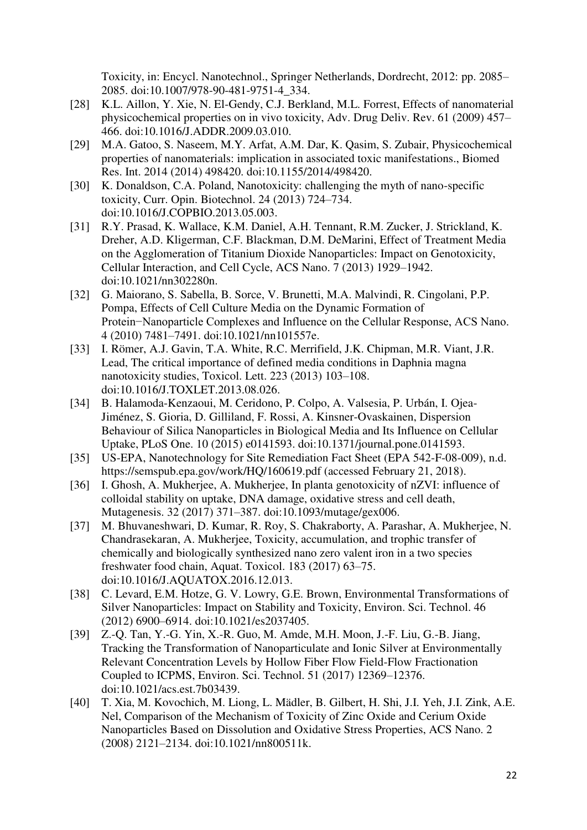Toxicity, in: Encycl. Nanotechnol., Springer Netherlands, Dordrecht, 2012: pp. 2085– 2085. doi:10.1007/978-90-481-9751-4\_334.

- [28] K.L. Aillon, Y. Xie, N. El-Gendy, C.J. Berkland, M.L. Forrest, Effects of nanomaterial physicochemical properties on in vivo toxicity, Adv. Drug Deliv. Rev. 61 (2009) 457– 466. doi:10.1016/J.ADDR.2009.03.010.
- [29] M.A. Gatoo, S. Naseem, M.Y. Arfat, A.M. Dar, K. Qasim, S. Zubair, Physicochemical properties of nanomaterials: implication in associated toxic manifestations., Biomed Res. Int. 2014 (2014) 498420. doi:10.1155/2014/498420.
- [30] K. Donaldson, C.A. Poland, Nanotoxicity: challenging the myth of nano-specific toxicity, Curr. Opin. Biotechnol. 24 (2013) 724–734. doi:10.1016/J.COPBIO.2013.05.003.
- [31] R.Y. Prasad, K. Wallace, K.M. Daniel, A.H. Tennant, R.M. Zucker, J. Strickland, K. Dreher, A.D. Kligerman, C.F. Blackman, D.M. DeMarini, Effect of Treatment Media on the Agglomeration of Titanium Dioxide Nanoparticles: Impact on Genotoxicity, Cellular Interaction, and Cell Cycle, ACS Nano. 7 (2013) 1929–1942. doi:10.1021/nn302280n.
- [32] G. Maiorano, S. Sabella, B. Sorce, V. Brunetti, M.A. Malvindi, R. Cingolani, P.P. Pompa, Effects of Cell Culture Media on the Dynamic Formation of Protein−Nanoparticle Complexes and Influence on the Cellular Response, ACS Nano. 4 (2010) 7481–7491. doi:10.1021/nn101557e.
- [33] I. Römer, A.J. Gavin, T.A. White, R.C. Merrifield, J.K. Chipman, M.R. Viant, J.R. Lead, The critical importance of defined media conditions in Daphnia magna nanotoxicity studies, Toxicol. Lett. 223 (2013) 103–108. doi:10.1016/J.TOXLET.2013.08.026.
- [34] B. Halamoda-Kenzaoui, M. Ceridono, P. Colpo, A. Valsesia, P. Urbán, I. Ojea-Jiménez, S. Gioria, D. Gilliland, F. Rossi, A. Kinsner-Ovaskainen, Dispersion Behaviour of Silica Nanoparticles in Biological Media and Its Influence on Cellular Uptake, PLoS One. 10 (2015) e0141593. doi:10.1371/journal.pone.0141593.
- [35] US-EPA, Nanotechnology for Site Remediation Fact Sheet (EPA 542-F-08-009), n.d. https://semspub.epa.gov/work/HQ/160619.pdf (accessed February 21, 2018).
- [36] I. Ghosh, A. Mukherjee, A. Mukherjee, In planta genotoxicity of nZVI: influence of colloidal stability on uptake, DNA damage, oxidative stress and cell death, Mutagenesis. 32 (2017) 371–387. doi:10.1093/mutage/gex006.
- [37] M. Bhuvaneshwari, D. Kumar, R. Roy, S. Chakraborty, A. Parashar, A. Mukherjee, N. Chandrasekaran, A. Mukherjee, Toxicity, accumulation, and trophic transfer of chemically and biologically synthesized nano zero valent iron in a two species freshwater food chain, Aquat. Toxicol. 183 (2017) 63–75. doi:10.1016/J.AQUATOX.2016.12.013.
- [38] C. Levard, E.M. Hotze, G. V. Lowry, G.E. Brown, Environmental Transformations of Silver Nanoparticles: Impact on Stability and Toxicity, Environ. Sci. Technol. 46 (2012) 6900–6914. doi:10.1021/es2037405.
- [39] Z.-Q. Tan, Y.-G. Yin, X.-R. Guo, M. Amde, M.H. Moon, J.-F. Liu, G.-B. Jiang, Tracking the Transformation of Nanoparticulate and Ionic Silver at Environmentally Relevant Concentration Levels by Hollow Fiber Flow Field-Flow Fractionation Coupled to ICPMS, Environ. Sci. Technol. 51 (2017) 12369–12376. doi:10.1021/acs.est.7b03439.
- [40] T. Xia, M. Kovochich, M. Liong, L. Mädler, B. Gilbert, H. Shi, J.I. Yeh, J.I. Zink, A.E. Nel, Comparison of the Mechanism of Toxicity of Zinc Oxide and Cerium Oxide Nanoparticles Based on Dissolution and Oxidative Stress Properties, ACS Nano. 2 (2008) 2121–2134. doi:10.1021/nn800511k.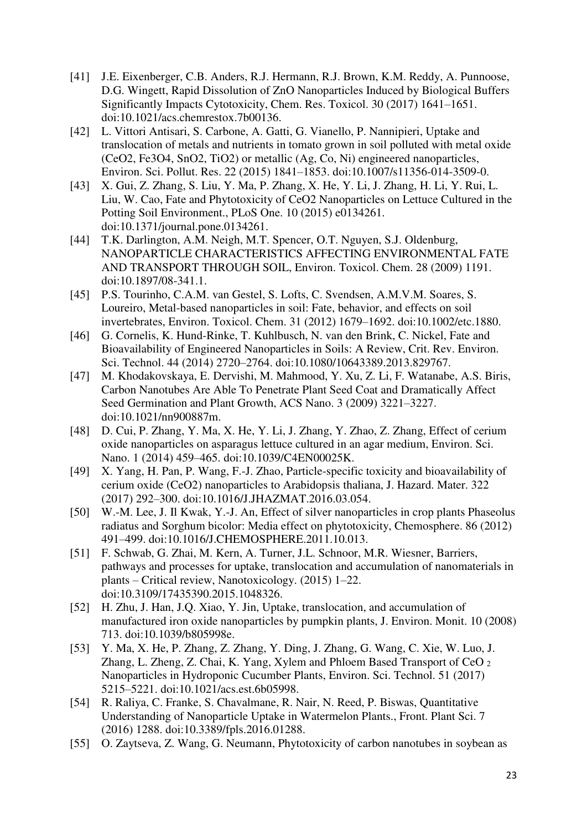- [41] J.E. Eixenberger, C.B. Anders, R.J. Hermann, R.J. Brown, K.M. Reddy, A. Punnoose, D.G. Wingett, Rapid Dissolution of ZnO Nanoparticles Induced by Biological Buffers Significantly Impacts Cytotoxicity, Chem. Res. Toxicol. 30 (2017) 1641–1651. doi:10.1021/acs.chemrestox.7b00136.
- [42] L. Vittori Antisari, S. Carbone, A. Gatti, G. Vianello, P. Nannipieri, Uptake and translocation of metals and nutrients in tomato grown in soil polluted with metal oxide (CeO2, Fe3O4, SnO2, TiO2) or metallic (Ag, Co, Ni) engineered nanoparticles, Environ. Sci. Pollut. Res. 22 (2015) 1841–1853. doi:10.1007/s11356-014-3509-0.
- [43] X. Gui, Z. Zhang, S. Liu, Y. Ma, P. Zhang, X. He, Y. Li, J. Zhang, H. Li, Y. Rui, L. Liu, W. Cao, Fate and Phytotoxicity of CeO2 Nanoparticles on Lettuce Cultured in the Potting Soil Environment., PLoS One. 10 (2015) e0134261. doi:10.1371/journal.pone.0134261.
- [44] T.K. Darlington, A.M. Neigh, M.T. Spencer, O.T. Nguyen, S.J. Oldenburg, NANOPARTICLE CHARACTERISTICS AFFECTING ENVIRONMENTAL FATE AND TRANSPORT THROUGH SOIL, Environ. Toxicol. Chem. 28 (2009) 1191. doi:10.1897/08-341.1.
- [45] P.S. Tourinho, C.A.M. van Gestel, S. Lofts, C. Svendsen, A.M.V.M. Soares, S. Loureiro, Metal-based nanoparticles in soil: Fate, behavior, and effects on soil invertebrates, Environ. Toxicol. Chem. 31 (2012) 1679–1692. doi:10.1002/etc.1880.
- [46] G. Cornelis, K. Hund-Rinke, T. Kuhlbusch, N. van den Brink, C. Nickel, Fate and Bioavailability of Engineered Nanoparticles in Soils: A Review, Crit. Rev. Environ. Sci. Technol. 44 (2014) 2720–2764. doi:10.1080/10643389.2013.829767.
- [47] M. Khodakovskaya, E. Dervishi, M. Mahmood, Y. Xu, Z. Li, F. Watanabe, A.S. Biris, Carbon Nanotubes Are Able To Penetrate Plant Seed Coat and Dramatically Affect Seed Germination and Plant Growth, ACS Nano. 3 (2009) 3221–3227. doi:10.1021/nn900887m.
- [48] D. Cui, P. Zhang, Y. Ma, X. He, Y. Li, J. Zhang, Y. Zhao, Z. Zhang, Effect of cerium oxide nanoparticles on asparagus lettuce cultured in an agar medium, Environ. Sci. Nano. 1 (2014) 459–465. doi:10.1039/C4EN00025K.
- [49] X. Yang, H. Pan, P. Wang, F.-J. Zhao, Particle-specific toxicity and bioavailability of cerium oxide (CeO2) nanoparticles to Arabidopsis thaliana, J. Hazard. Mater. 322 (2017) 292–300. doi:10.1016/J.JHAZMAT.2016.03.054.
- [50] W.-M. Lee, J. Il Kwak, Y.-J. An, Effect of silver nanoparticles in crop plants Phaseolus radiatus and Sorghum bicolor: Media effect on phytotoxicity, Chemosphere. 86 (2012) 491–499. doi:10.1016/J.CHEMOSPHERE.2011.10.013.
- [51] F. Schwab, G. Zhai, M. Kern, A. Turner, J.L. Schnoor, M.R. Wiesner, Barriers, pathways and processes for uptake, translocation and accumulation of nanomaterials in plants – Critical review, Nanotoxicology. (2015) 1–22. doi:10.3109/17435390.2015.1048326.
- [52] H. Zhu, J. Han, J.Q. Xiao, Y. Jin, Uptake, translocation, and accumulation of manufactured iron oxide nanoparticles by pumpkin plants, J. Environ. Monit. 10 (2008) 713. doi:10.1039/b805998e.
- [53] Y. Ma, X. He, P. Zhang, Z. Zhang, Y. Ding, J. Zhang, G. Wang, C. Xie, W. Luo, J. Zhang, L. Zheng, Z. Chai, K. Yang, Xylem and Phloem Based Transport of CeO <sup>2</sup> Nanoparticles in Hydroponic Cucumber Plants, Environ. Sci. Technol. 51 (2017) 5215–5221. doi:10.1021/acs.est.6b05998.
- [54] R. Raliya, C. Franke, S. Chavalmane, R. Nair, N. Reed, P. Biswas, Quantitative Understanding of Nanoparticle Uptake in Watermelon Plants., Front. Plant Sci. 7 (2016) 1288. doi:10.3389/fpls.2016.01288.
- [55] O. Zaytseva, Z. Wang, G. Neumann, Phytotoxicity of carbon nanotubes in soybean as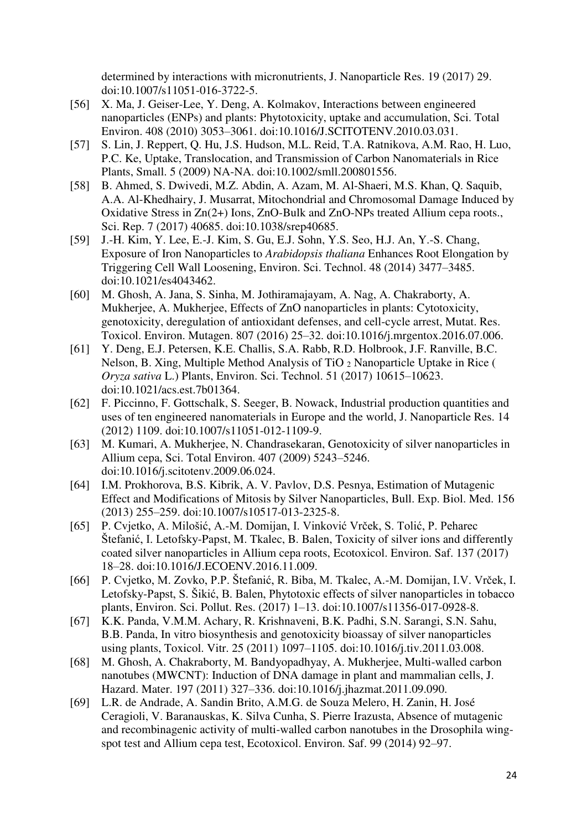determined by interactions with micronutrients, J. Nanoparticle Res. 19 (2017) 29. doi:10.1007/s11051-016-3722-5.

- [56] X. Ma, J. Geiser-Lee, Y. Deng, A. Kolmakov, Interactions between engineered nanoparticles (ENPs) and plants: Phytotoxicity, uptake and accumulation, Sci. Total Environ. 408 (2010) 3053–3061. doi:10.1016/J.SCITOTENV.2010.03.031.
- [57] S. Lin, J. Reppert, Q. Hu, J.S. Hudson, M.L. Reid, T.A. Ratnikova, A.M. Rao, H. Luo, P.C. Ke, Uptake, Translocation, and Transmission of Carbon Nanomaterials in Rice Plants, Small. 5 (2009) NA-NA. doi:10.1002/smll.200801556.
- [58] B. Ahmed, S. Dwivedi, M.Z. Abdin, A. Azam, M. Al-Shaeri, M.S. Khan, Q. Saquib, A.A. Al-Khedhairy, J. Musarrat, Mitochondrial and Chromosomal Damage Induced by Oxidative Stress in Zn(2+) Ions, ZnO-Bulk and ZnO-NPs treated Allium cepa roots., Sci. Rep. 7 (2017) 40685. doi:10.1038/srep40685.
- [59] J.-H. Kim, Y. Lee, E.-J. Kim, S. Gu, E.J. Sohn, Y.S. Seo, H.J. An, Y.-S. Chang, Exposure of Iron Nanoparticles to *Arabidopsis thaliana* Enhances Root Elongation by Triggering Cell Wall Loosening, Environ. Sci. Technol. 48 (2014) 3477–3485. doi:10.1021/es4043462.
- [60] M. Ghosh, A. Jana, S. Sinha, M. Jothiramajayam, A. Nag, A. Chakraborty, A. Mukherjee, A. Mukherjee, Effects of ZnO nanoparticles in plants: Cytotoxicity, genotoxicity, deregulation of antioxidant defenses, and cell-cycle arrest, Mutat. Res. Toxicol. Environ. Mutagen. 807 (2016) 25–32. doi:10.1016/j.mrgentox.2016.07.006.
- [61] Y. Deng, E.J. Petersen, K.E. Challis, S.A. Rabb, R.D. Holbrook, J.F. Ranville, B.C. Nelson, B. Xing, Multiple Method Analysis of TiO 2 Nanoparticle Uptake in Rice ( *Oryza sativa* L.) Plants, Environ. Sci. Technol. 51 (2017) 10615–10623. doi:10.1021/acs.est.7b01364.
- [62] F. Piccinno, F. Gottschalk, S. Seeger, B. Nowack, Industrial production quantities and uses of ten engineered nanomaterials in Europe and the world, J. Nanoparticle Res. 14 (2012) 1109. doi:10.1007/s11051-012-1109-9.
- [63] M. Kumari, A. Mukherjee, N. Chandrasekaran, Genotoxicity of silver nanoparticles in Allium cepa, Sci. Total Environ. 407 (2009) 5243–5246. doi:10.1016/j.scitotenv.2009.06.024.
- [64] I.M. Prokhorova, B.S. Kibrik, A. V. Pavlov, D.S. Pesnya, Estimation of Mutagenic Effect and Modifications of Mitosis by Silver Nanoparticles, Bull. Exp. Biol. Med. 156 (2013) 255–259. doi:10.1007/s10517-013-2325-8.
- [65] P. Cvjetko, A. Milošić, A.-M. Domijan, I. Vinković Vrček, S. Tolić, P. Peharec Štefanić, I. Letofsky-Papst, M. Tkalec, B. Balen, Toxicity of silver ions and differently coated silver nanoparticles in Allium cepa roots, Ecotoxicol. Environ. Saf. 137 (2017) 18–28. doi:10.1016/J.ECOENV.2016.11.009.
- [66] P. Cvjetko, M. Zovko, P.P. Štefanić, R. Biba, M. Tkalec, A.-M. Domijan, I.V. Vrček, I. Letofsky-Papst, S. Šikić, B. Balen, Phytotoxic effects of silver nanoparticles in tobacco plants, Environ. Sci. Pollut. Res. (2017) 1–13. doi:10.1007/s11356-017-0928-8.
- [67] K.K. Panda, V.M.M. Achary, R. Krishnaveni, B.K. Padhi, S.N. Sarangi, S.N. Sahu, B.B. Panda, In vitro biosynthesis and genotoxicity bioassay of silver nanoparticles using plants, Toxicol. Vitr. 25 (2011) 1097–1105. doi:10.1016/j.tiv.2011.03.008.
- [68] M. Ghosh, A. Chakraborty, M. Bandyopadhyay, A. Mukherjee, Multi-walled carbon nanotubes (MWCNT): Induction of DNA damage in plant and mammalian cells, J. Hazard. Mater. 197 (2011) 327–336. doi:10.1016/j.jhazmat.2011.09.090.
- [69] L.R. de Andrade, A. Sandin Brito, A.M.G. de Souza Melero, H. Zanin, H. José Ceragioli, V. Baranauskas, K. Silva Cunha, S. Pierre Irazusta, Absence of mutagenic and recombinagenic activity of multi-walled carbon nanotubes in the Drosophila wingspot test and Allium cepa test, Ecotoxicol. Environ. Saf. 99 (2014) 92–97.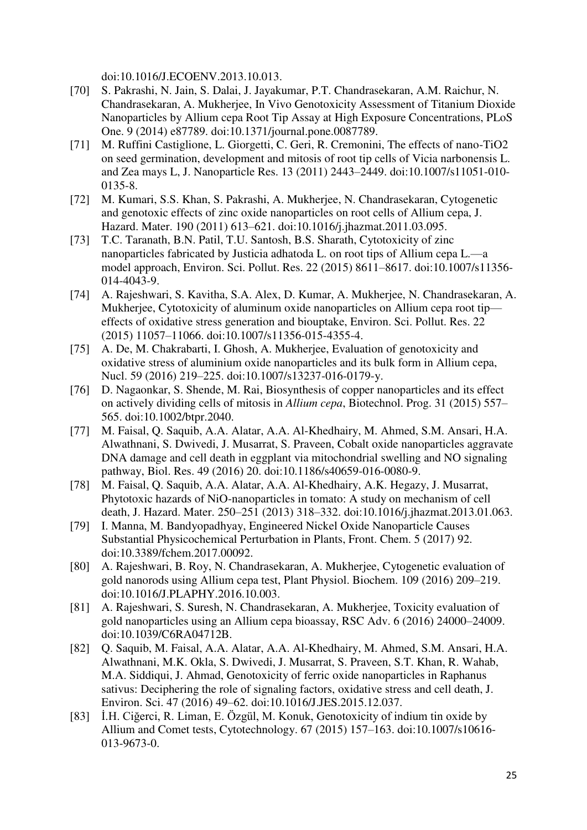doi:10.1016/J.ECOENV.2013.10.013.

- [70] S. Pakrashi, N. Jain, S. Dalai, J. Jayakumar, P.T. Chandrasekaran, A.M. Raichur, N. Chandrasekaran, A. Mukherjee, In Vivo Genotoxicity Assessment of Titanium Dioxide Nanoparticles by Allium cepa Root Tip Assay at High Exposure Concentrations, PLoS One. 9 (2014) e87789. doi:10.1371/journal.pone.0087789.
- [71] M. Ruffini Castiglione, L. Giorgetti, C. Geri, R. Cremonini, The effects of nano-TiO2 on seed germination, development and mitosis of root tip cells of Vicia narbonensis L. and Zea mays L, J. Nanoparticle Res. 13 (2011) 2443–2449. doi:10.1007/s11051-010- 0135-8.
- [72] M. Kumari, S.S. Khan, S. Pakrashi, A. Mukherjee, N. Chandrasekaran, Cytogenetic and genotoxic effects of zinc oxide nanoparticles on root cells of Allium cepa, J. Hazard. Mater. 190 (2011) 613–621. doi:10.1016/j.jhazmat.2011.03.095.
- [73] T.C. Taranath, B.N. Patil, T.U. Santosh, B.S. Sharath, Cytotoxicity of zinc nanoparticles fabricated by Justicia adhatoda L. on root tips of Allium cepa L.—a model approach, Environ. Sci. Pollut. Res. 22 (2015) 8611–8617. doi:10.1007/s11356- 014-4043-9.
- [74] A. Rajeshwari, S. Kavitha, S.A. Alex, D. Kumar, A. Mukherjee, N. Chandrasekaran, A. Mukherjee, Cytotoxicity of aluminum oxide nanoparticles on Allium cepa root tip effects of oxidative stress generation and biouptake, Environ. Sci. Pollut. Res. 22 (2015) 11057–11066. doi:10.1007/s11356-015-4355-4.
- [75] A. De, M. Chakrabarti, I. Ghosh, A. Mukherjee, Evaluation of genotoxicity and oxidative stress of aluminium oxide nanoparticles and its bulk form in Allium cepa, Nucl. 59 (2016) 219–225. doi:10.1007/s13237-016-0179-y.
- [76] D. Nagaonkar, S. Shende, M. Rai, Biosynthesis of copper nanoparticles and its effect on actively dividing cells of mitosis in *Allium cepa*, Biotechnol. Prog. 31 (2015) 557– 565. doi:10.1002/btpr.2040.
- [77] M. Faisal, Q. Saquib, A.A. Alatar, A.A. Al-Khedhairy, M. Ahmed, S.M. Ansari, H.A. Alwathnani, S. Dwivedi, J. Musarrat, S. Praveen, Cobalt oxide nanoparticles aggravate DNA damage and cell death in eggplant via mitochondrial swelling and NO signaling pathway, Biol. Res. 49 (2016) 20. doi:10.1186/s40659-016-0080-9.
- [78] M. Faisal, Q. Saquib, A.A. Alatar, A.A. Al-Khedhairy, A.K. Hegazy, J. Musarrat, Phytotoxic hazards of NiO-nanoparticles in tomato: A study on mechanism of cell death, J. Hazard. Mater. 250–251 (2013) 318–332. doi:10.1016/j.jhazmat.2013.01.063.
- [79] I. Manna, M. Bandyopadhyay, Engineered Nickel Oxide Nanoparticle Causes Substantial Physicochemical Perturbation in Plants, Front. Chem. 5 (2017) 92. doi:10.3389/fchem.2017.00092.
- [80] A. Rajeshwari, B. Roy, N. Chandrasekaran, A. Mukherjee, Cytogenetic evaluation of gold nanorods using Allium cepa test, Plant Physiol. Biochem. 109 (2016) 209–219. doi:10.1016/J.PLAPHY.2016.10.003.
- [81] A. Rajeshwari, S. Suresh, N. Chandrasekaran, A. Mukherjee, Toxicity evaluation of gold nanoparticles using an Allium cepa bioassay, RSC Adv. 6 (2016) 24000–24009. doi:10.1039/C6RA04712B.
- [82] Q. Saquib, M. Faisal, A.A. Alatar, A.A. Al-Khedhairy, M. Ahmed, S.M. Ansari, H.A. Alwathnani, M.K. Okla, S. Dwivedi, J. Musarrat, S. Praveen, S.T. Khan, R. Wahab, M.A. Siddiqui, J. Ahmad, Genotoxicity of ferric oxide nanoparticles in Raphanus sativus: Deciphering the role of signaling factors, oxidative stress and cell death, J. Environ. Sci. 47 (2016) 49–62. doi:10.1016/J.JES.2015.12.037.
- [83] İ.H. Ciğerci, R. Liman, E. Özgül, M. Konuk, Genotoxicity of indium tin oxide by Allium and Comet tests, Cytotechnology. 67 (2015) 157–163. doi:10.1007/s10616- 013-9673-0.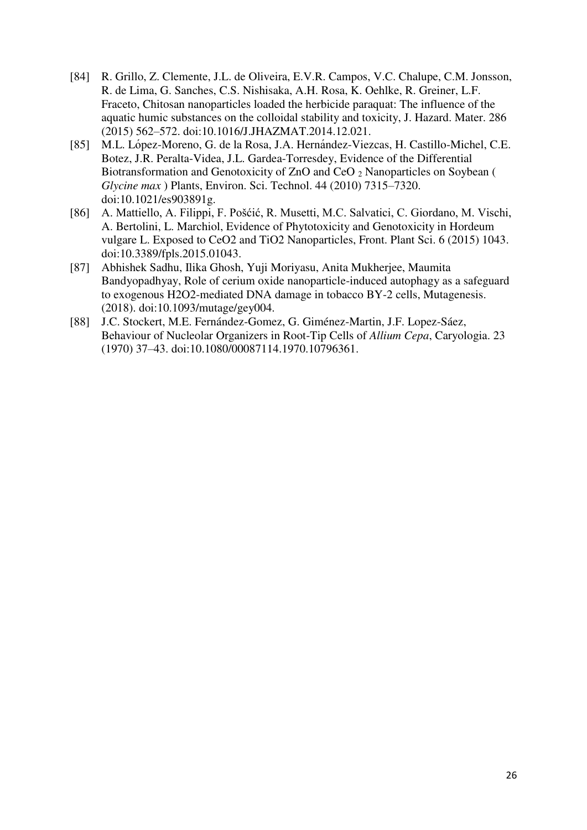- [84] R. Grillo, Z. Clemente, J.L. de Oliveira, E.V.R. Campos, V.C. Chalupe, C.M. Jonsson, R. de Lima, G. Sanches, C.S. Nishisaka, A.H. Rosa, K. Oehlke, R. Greiner, L.F. Fraceto, Chitosan nanoparticles loaded the herbicide paraquat: The influence of the aquatic humic substances on the colloidal stability and toxicity, J. Hazard. Mater. 286 (2015) 562–572. doi:10.1016/J.JHAZMAT.2014.12.021.
- [85] M.L. López-Moreno, G. de la Rosa, J.A. Hernández-Viezcas, H. Castillo-Michel, C.E. Botez, J.R. Peralta-Videa, J.L. Gardea-Torresdey, Evidence of the Differential Biotransformation and Genotoxicity of ZnO and CeO 2 Nanoparticles on Soybean ( *Glycine max* ) Plants, Environ. Sci. Technol. 44 (2010) 7315–7320. doi:10.1021/es903891g.
- [86] A. Mattiello, A. Filippi, F. Pošćić, R. Musetti, M.C. Salvatici, C. Giordano, M. Vischi, A. Bertolini, L. Marchiol, Evidence of Phytotoxicity and Genotoxicity in Hordeum vulgare L. Exposed to CeO2 and TiO2 Nanoparticles, Front. Plant Sci. 6 (2015) 1043. doi:10.3389/fpls.2015.01043.
- [87] Abhishek Sadhu, Ilika Ghosh, Yuji Moriyasu, Anita Mukherjee, Maumita Bandyopadhyay, Role of cerium oxide nanoparticle-induced autophagy as a safeguard to exogenous H2O2-mediated DNA damage in tobacco BY-2 cells, Mutagenesis. (2018). doi:10.1093/mutage/gey004.
- [88] J.C. Stockert, M.E. Fernández-Gomez, G. Giménez-Martin, J.F. Lopez-Sáez, Behaviour of Nucleolar Organizers in Root-Tip Cells of *Allium Cepa*, Caryologia. 23 (1970) 37–43. doi:10.1080/00087114.1970.10796361.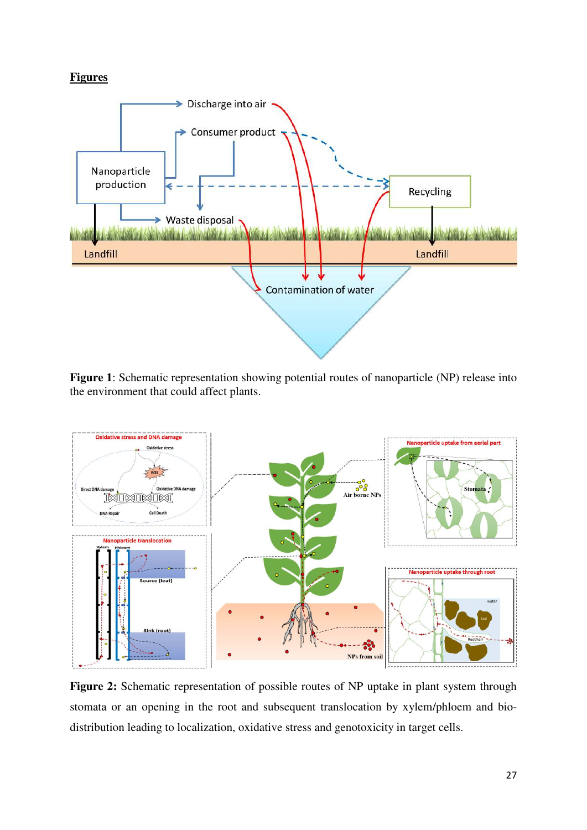# **Figures**



**Figure 1**: Schematic representation showing potential routes of nanoparticle (NP) release into the environment that could affect plants.



Figure 2: Schematic representation of possible routes of NP uptake in plant system through stomata or an opening in the root and subsequent translocation by xylem/phloem and biodistribution leading to localization, oxidative stress and genotoxicity in target cells.